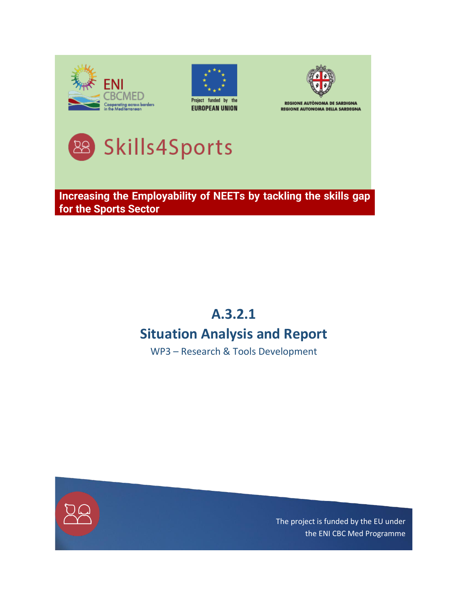





**REGIONE AUTÒNOMA DE SARDIGNA REGIONE AUTONOMA DELLA SARDEGNA** 



**Increasing the Employability of NEETs by tackling the skills gap for the Sports Sector**

## **A.3.2.1**

# **Situation Analysis and Report**

WP3 – Research & Tools Development



The project is funded by the EU under the ENI CBC Med Programme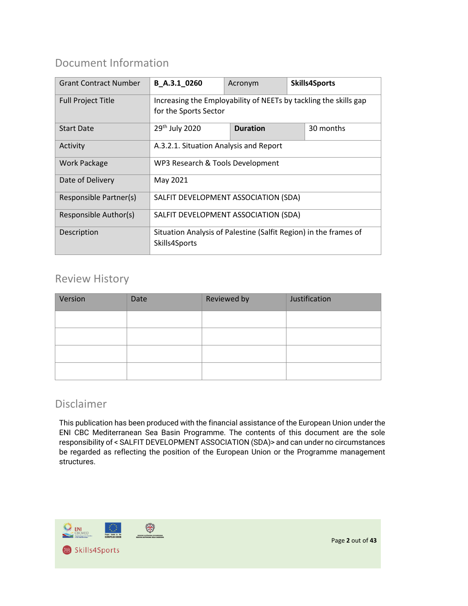### Document Information

| <b>Grant Contract Number</b> | B A.3.1 0260                                                     | Acronym                      |  | <b>Skills4Sports</b> |  |  |  |
|------------------------------|------------------------------------------------------------------|------------------------------|--|----------------------|--|--|--|
| <b>Full Project Title</b>    | Increasing the Employability of NEETs by tackling the skills gap |                              |  |                      |  |  |  |
|                              | for the Sports Sector                                            |                              |  |                      |  |  |  |
| <b>Start Date</b>            | 29 <sup>th</sup> July 2020                                       | <b>Duration</b><br>30 months |  |                      |  |  |  |
| Activity                     | A.3.2.1. Situation Analysis and Report                           |                              |  |                      |  |  |  |
| <b>Work Package</b>          | WP3 Research & Tools Development                                 |                              |  |                      |  |  |  |
| Date of Delivery             | May 2021                                                         |                              |  |                      |  |  |  |
| Responsible Partner(s)       | SALFIT DEVELOPMENT ASSOCIATION (SDA)                             |                              |  |                      |  |  |  |
| Responsible Author(s)        | SALFIT DEVELOPMENT ASSOCIATION (SDA)                             |                              |  |                      |  |  |  |
| Description                  | Situation Analysis of Palestine (Salfit Region) in the frames of |                              |  |                      |  |  |  |
|                              | Skills4Sports                                                    |                              |  |                      |  |  |  |

#### Review History

| Version | Date | Reviewed by | Justification |
|---------|------|-------------|---------------|
|         |      |             |               |
|         |      |             |               |
|         |      |             |               |
|         |      |             |               |

#### Disclaimer

This publication has been produced with the financial assistance of the European Union under the ENI CBC Mediterranean Sea Basin Programme. The contents of this document are the sole responsibility of < SALFIT DEVELOPMENT ASSOCIATION (SDA)> and can under no circumstances be regarded as reflecting the position of the European Union or the Programme management structures.

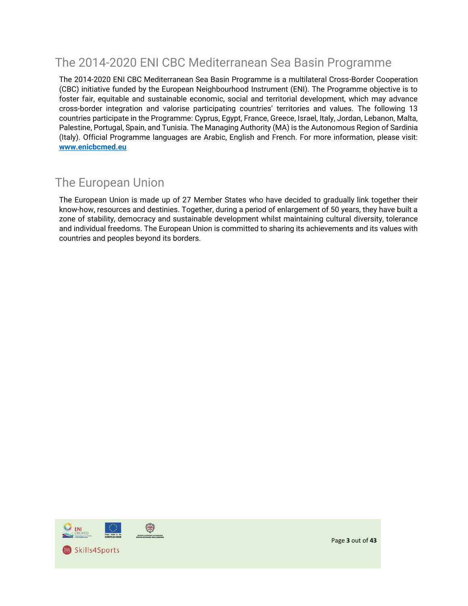## The 2014-2020 ENI CBC Mediterranean Sea Basin Programme

The 2014-2020 ENI CBC Mediterranean Sea Basin Programme is a multilateral Cross-Border Cooperation (CBC) initiative funded by the European Neighbourhood Instrument (ENI). The Programme objective is to foster fair, equitable and sustainable economic, social and territorial development, which may advance cross-border integration and valorise participating countries' territories and values. The following 13 countries participate in the Programme: Cyprus, Egypt, France, Greece, Israel, Italy, Jordan, Lebanon, Malta, Palestine, Portugal, Spain, and Tunisia. The Managing Authority (MA) is the Autonomous Region of Sardinia (Italy). Official Programme languages are Arabic, English and French. For more information, please visit: **[www.enicbcmed.eu](http://www.enicbcmed.eu/)**

## The European Union

The European Union is made up of 27 Member States who have decided to gradually link together their know-how, resources and destinies. Together, during a period of enlargement of 50 years, they have built a zone of stability, democracy and sustainable development whilst maintaining cultural diversity, tolerance and individual freedoms. The European Union is committed to sharing its achievements and its values with countries and peoples beyond its borders.



Page **3** out of **43**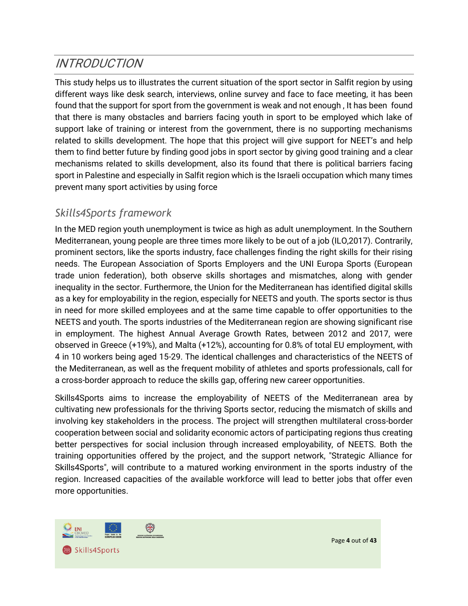# <span id="page-3-0"></span>INTRODUCTION

This study helps us to illustrates the current situation of the sport sector in Salfit region by using different ways like desk search, interviews, online survey and face to face meeting, it has been found that the support for sport from the government is weak and not enough , It has been found that there is many obstacles and barriers facing youth in sport to be employed which lake of support lake of training or interest from the government, there is no supporting mechanisms related to skills development. The hope that this project will give support for NEET's and help them to find better future by finding good jobs in sport sector by giving good training and a clear mechanisms related to skills development, also its found that there is political barriers facing sport in Palestine and especially in Salfit region which is the Israeli occupation which many times prevent many sport activities by using force

### <span id="page-3-1"></span>*Skills4Sports framework*

In the MED region youth unemployment is twice as high as adult unemployment. In the Southern Mediterranean, young people are three times more likely to be out of a job (ILO,2017). Contrarily, prominent sectors, like the sports industry, face challenges finding the right skills for their rising needs. The European Association of Sports Employers and the UNI Europa Sports (European trade union federation), both observe skills shortages and mismatches, along with gender inequality in the sector. Furthermore, the Union for the Mediterranean has identified digital skills as a key for employability in the region, especially for NEETS and youth. The sports sector is thus in need for more skilled employees and at the same time capable to offer opportunities to the NEETS and youth. The sports industries of the Mediterranean region are showing significant rise in employment. The highest Annual Average Growth Rates, between 2012 and 2017, were observed in Greece (+19%), and Malta (+12%), accounting for 0.8% of total EU employment, with 4 in 10 workers being aged 15-29. The identical challenges and characteristics of the NEETS of the Mediterranean, as well as the frequent mobility of athletes and sports professionals, call for a cross-border approach to reduce the skills gap, offering new career opportunities.

Skills4Sports aims to increase the employability of NEETS of the Mediterranean area by cultivating new professionals for the thriving Sports sector, reducing the mismatch of skills and involving key stakeholders in the process. The project will strengthen multilateral cross-border cooperation between social and solidarity economic actors of participating regions thus creating better perspectives for social inclusion through increased employability, of NEETS. Both the training opportunities offered by the project, and the support network, "Strategic Alliance for Skills4Sports", will contribute to a matured working environment in the sports industry of the region. Increased capacities of the available workforce will lead to better jobs that offer even more opportunities.



Page **4** out of **43**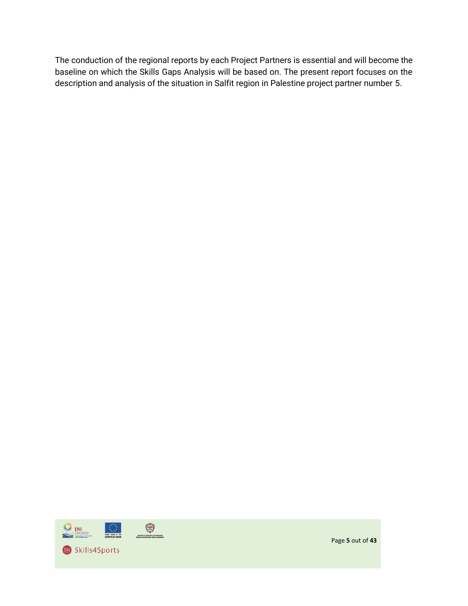The conduction of the regional reports by each Project Partners is essential and will become the baseline on which the Skills Gaps Analysis will be based on. The present report focuses on the description and analysis of the situation in Salfit region in Palestine project partner number 5.



Page **5** out of **43**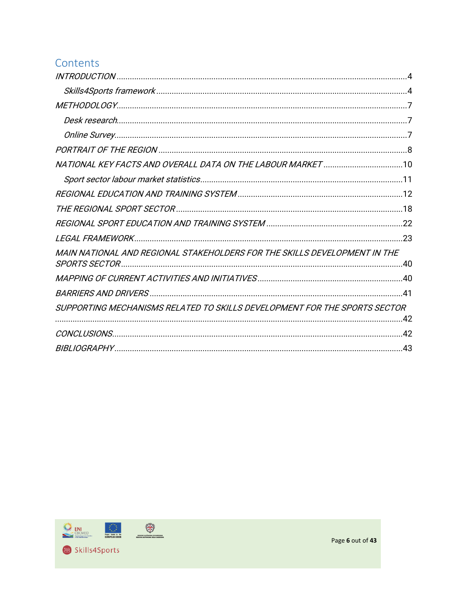### Contents

| MAIN NATIONAL AND REGIONAL STAKEHOLDERS FOR THE SKILLS DEVELOPMENT IN THE<br>SUPPORTING MECHANISMS RELATED TO SKILLS DEVELOPMENT FOR THE SPORTS SECTOR |  |
|--------------------------------------------------------------------------------------------------------------------------------------------------------|--|
|                                                                                                                                                        |  |
|                                                                                                                                                        |  |
|                                                                                                                                                        |  |
|                                                                                                                                                        |  |
|                                                                                                                                                        |  |
|                                                                                                                                                        |  |
|                                                                                                                                                        |  |
|                                                                                                                                                        |  |
|                                                                                                                                                        |  |
|                                                                                                                                                        |  |
|                                                                                                                                                        |  |
|                                                                                                                                                        |  |
|                                                                                                                                                        |  |
|                                                                                                                                                        |  |
|                                                                                                                                                        |  |
|                                                                                                                                                        |  |
|                                                                                                                                                        |  |

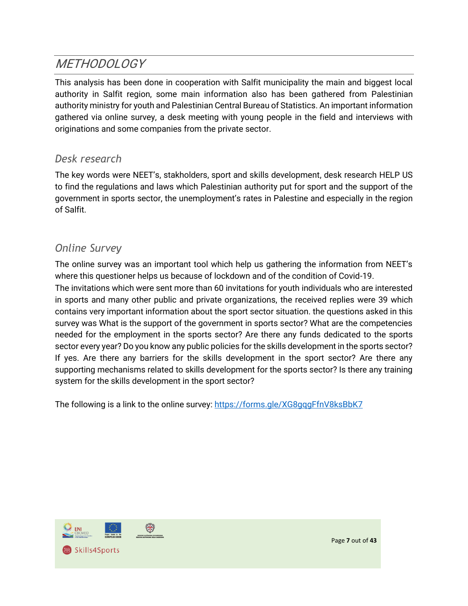## <span id="page-6-0"></span>**METHODOLOGY**

This analysis has been done in cooperation with Salfit municipality the main and biggest local authority in Salfit region, some main information also has been gathered from Palestinian authority ministry for youth and Palestinian Central Bureau of Statistics. An important information gathered via online survey, a desk meeting with young people in the field and interviews with originations and some companies from the private sector.

#### <span id="page-6-1"></span>*Desk research*

The key words were NEET's, stakholders, sport and skills development, desk research HELP US to find the regulations and laws which Palestinian authority put for sport and the support of the government in sports sector, the unemployment's rates in Palestine and especially in the region of Salfit.

#### <span id="page-6-2"></span>*Online Survey*

The online survey was an important tool which help us gathering the information from NEET's where this questioner helps us because of lockdown and of the condition of Covid-19. The invitations which were sent more than 60 invitations for youth individuals who are interested in sports and many other public and private organizations, the received replies were 39 which contains very important information about the sport sector situation. the questions asked in this survey was What is the support of the government in sports sector? What are the competencies needed for the employment in the sports sector? Are there any funds dedicated to the sports sector every year? Do you know any public policies for the skills development in the sports sector? If yes. Are there any barriers for the skills development in the sport sector? Are there any supporting mechanisms related to skills development for the sports sector? Is there any training system for the skills development in the sport sector?

The following is a link to the online survey[: https://forms.gle/XG8gqgFfnV8ksBbK7](https://forms.gle/XG8gqgFfnV8ksBbK7)

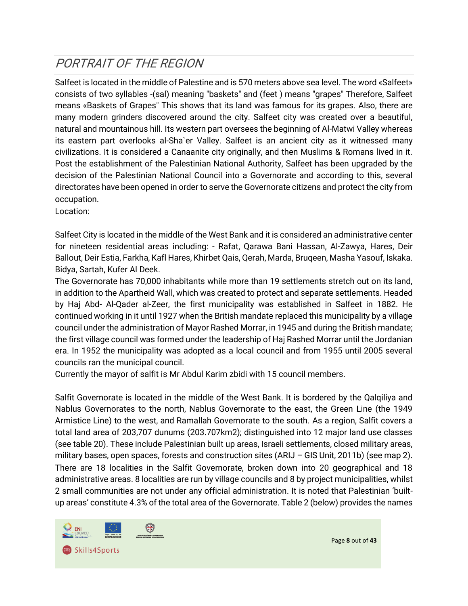## <span id="page-7-0"></span>PORTRAIT OF THE REGION

Salfeet is located in the middle of Palestine and is 570 meters above sea level. The word «Salfeet» consists of two syllables -(sal) meaning "baskets" and (feet ) means "grapes" Therefore, Salfeet means «Baskets of Grapes" This shows that its land was famous for its grapes. Also, there are many modern grinders discovered around the city. Salfeet city was created over a beautiful, natural and mountainous hill. Its western part oversees the beginning of Al-Matwi Valley whereas its eastern part overlooks al-Sha`er Valley. Salfeet is an ancient city as it witnessed many civilizations. It is considered a Canaanite city originally, and then Muslims & Romans lived in it. Post the establishment of the Palestinian National Authority, Salfeet has been upgraded by the decision of the Palestinian National Council into a Governorate and according to this, several directorates have been opened in order to serve the Governorate citizens and protect the city from occupation.

Location:

Salfeet City is located in the middle of the West Bank and it is considered an administrative center for nineteen residential areas including: - Rafat, Qarawa Bani Hassan, Al-Zawya, Hares, Deir Ballout, Deir Estia, Farkha, Kafl Hares, Khirbet Qais, Qerah, Marda, Bruqeen, Masha Yasouf, Iskaka. Bidya, Sartah, Kufer Al Deek.

The Governorate has 70,000 inhabitants while more than 19 settlements stretch out on its land, in addition to the Apartheid Wall, which was created to protect and separate settlements. Headed by Haj Abd- Al-Qader al-Zeer, the first municipality was established in Salfeet in 1882. He continued working in it until 1927 when the British mandate replaced this municipality by a village council under the administration of Mayor Rashed Morrar, in 1945 and during the British mandate; the first village council was formed under the leadership of Haj Rashed Morrar until the Jordanian era. In 1952 the municipality was adopted as a local council and from 1955 until 2005 several councils ran the municipal council.

Currently the mayor of salfit is Mr Abdul Karim zbidi with 15 council members.

Salfit Governorate is located in the middle of the West Bank. It is bordered by the Qalqiliya and Nablus Governorates to the north, Nablus Governorate to the east, the Green Line (the 1949 Armistice Line) to the west, and Ramallah Governorate to the south. As a region, Salfit covers a total land area of 203,707 dunums (203.707km2); distinguished into 12 major land use classes (see table 20). These include Palestinian built up areas, Israeli settlements, closed military areas, military bases, open spaces, forests and construction sites (ARIJ – GIS Unit, 2011b) (see map 2). There are 18 localities in the Salfit Governorate, broken down into 20 geographical and 18 administrative areas. 8 localities are run by village councils and 8 by project municipalities, whilst 2 small communities are not under any official administration. It is noted that Palestinian 'builtup areas' constitute 4.3% of the total area of the Governorate. Table 2 (below) provides the names



Page **8** out of **43**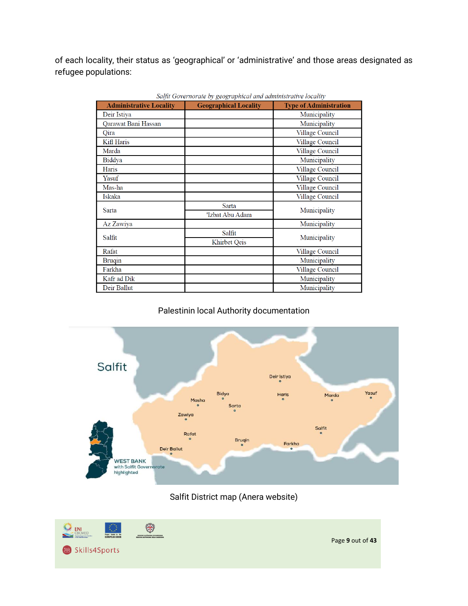of each locality, their status as 'geographical' or 'administrative' and those areas designated as refugee populations:

| <b>Administrative Locality</b> | <b>Geographical Locality</b> | <b>Type of Administration</b> |
|--------------------------------|------------------------------|-------------------------------|
| Deir Istiya                    |                              | Municipality                  |
| Qarawat Bani Hassan            |                              | Municipality                  |
| Oira                           |                              | Village Council               |
| Kifl Haris                     |                              | Village Council               |
| Marda                          |                              | Village Council               |
| Biddya                         |                              | Municipality                  |
| Haris                          |                              | Village Council               |
| Yasuf                          |                              | Village Council               |
| Mas-ha                         |                              | Village Council               |
| Iskaka                         |                              | Village Council               |
| Sarta                          | Sarta                        | Municipality                  |
|                                | 'Izbat Abu Adam              |                               |
| Az Zawiya                      |                              | Municipality                  |
| Salfit                         | Salfit                       | Municipality                  |
|                                | Khirbet Oeis                 |                               |
| Rafat                          |                              | Village Council               |
| <b>Brugin</b>                  |                              | Municipality                  |
| Farkha                         |                              | Village Council               |
| Kafr ad Dik                    |                              | Municipality                  |
| Deir Ballut                    |                              | Municipality                  |

Salfit Governorate by geographical and administrative locality

#### Palestinin local Authority documentation



Salfit District map (Anera website)

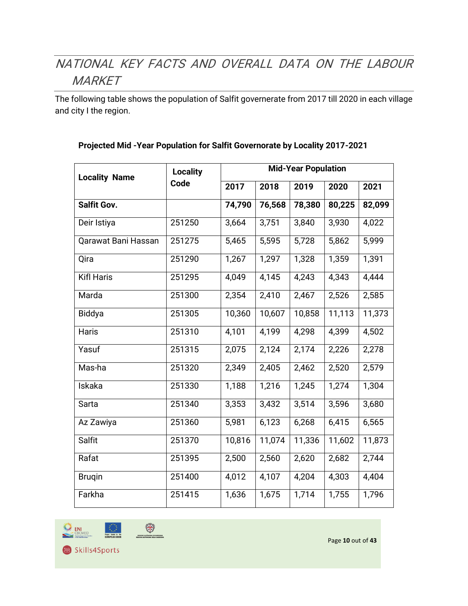# <span id="page-9-0"></span>NATIONAL KEY FACTS AND OVERALL DATA ON THE LABOUR **MARKET**

The following table shows the population of Salfit governerate from 2017 till 2020 in each village and city I the region.

| <b>Locality Name</b> | <b>Locality</b> | <b>Mid-Year Population</b> |        |        |        |        |  |
|----------------------|-----------------|----------------------------|--------|--------|--------|--------|--|
|                      | Code            | 2017                       | 2018   | 2019   | 2020   | 2021   |  |
| <b>Salfit Gov.</b>   |                 | 74,790                     | 76,568 | 78,380 | 80,225 | 82,099 |  |
| Deir Istiya          | 251250          | 3,664                      | 3,751  | 3,840  | 3,930  | 4,022  |  |
| Qarawat Bani Hassan  | 251275          | 5,465                      | 5,595  | 5,728  | 5,862  | 5,999  |  |
| Qira                 | 251290          | 1,267                      | 1,297  | 1,328  | 1,359  | 1,391  |  |
| <b>Kifl Haris</b>    | 251295          | 4,049                      | 4,145  | 4,243  | 4,343  | 4,444  |  |
| Marda                | 251300          | 2,354                      | 2,410  | 2,467  | 2,526  | 2,585  |  |
| Biddya               | 251305          | 10,360                     | 10,607 | 10,858 | 11,113 | 11,373 |  |
| Haris                | 251310          | 4,101                      | 4,199  | 4,298  | 4,399  | 4,502  |  |
| Yasuf                | 251315          | 2,075                      | 2,124  | 2,174  | 2,226  | 2,278  |  |
| Mas-ha               | 251320          | 2,349                      | 2,405  | 2,462  | 2,520  | 2,579  |  |
| Iskaka               | 251330          | 1,188                      | 1,216  | 1,245  | 1,274  | 1,304  |  |
| Sarta                | 251340          | 3,353                      | 3,432  | 3,514  | 3,596  | 3,680  |  |
| Az Zawiya            | 251360          | 5,981                      | 6,123  | 6,268  | 6,415  | 6,565  |  |
| Salfit               | 251370          | 10,816                     | 11,074 | 11,336 | 11,602 | 11,873 |  |
| Rafat                | 251395          | 2,500                      | 2,560  | 2,620  | 2,682  | 2,744  |  |
| <b>Brugin</b>        | 251400          | 4,012                      | 4,107  | 4,204  | 4,303  | 4,404  |  |
| Farkha               | 251415          | 1,636                      | 1,675  | 1,714  | 1,755  | 1,796  |  |

#### **Projected Mid -Year Population for Salfit Governorate by Locality 2017-2021**





Page **10** out of **43**

Skills4Sports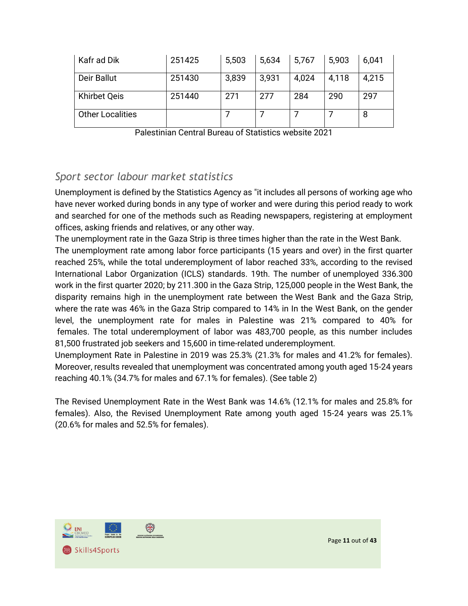| Kafr ad Dik             | 251425 | 5,503 | 5,634 | 5,767 | 5,903 | 6,041 |
|-------------------------|--------|-------|-------|-------|-------|-------|
| Deir Ballut             | 251430 | 3,839 | 3,931 | 4,024 | 4,118 | 4,215 |
| <b>Khirbet Qeis</b>     | 251440 | 271   | 277   | 284   | 290   | 297   |
| <b>Other Localities</b> |        |       |       |       |       | 8     |

Palestinian Central Bureau of Statistics website 2021

#### <span id="page-10-0"></span>*Sport sector labour market statistics*

Unemployment is defined by the Statistics Agency as "it includes all persons of working age who have never worked during bonds in any type of worker and were during this period ready to work and searched for one of the methods such as Reading newspapers, registering at employment offices, asking friends and relatives, or any other way.

The unemployment rate in the Gaza Strip is three times higher than the rate in the West Bank. The unemployment rate among labor force participants (15 years and over) in the first quarter reached 25%, while the total underemployment of labor reached 33%, according to the revised International Labor Organization (ICLS) standards. 19th. The number of unemployed 336.300 work in the first quarter 2020; by 211.300 in the Gaza Strip, 125,000 people in the West Bank, the disparity remains high in the unemployment rate between the West Bank and the Gaza Strip, where the rate was 46% in the Gaza Strip compared to 14% in In the West Bank, on the gender level, the unemployment rate for males in Palestine was 21% compared to 40% for females. The total underemployment of labor was 483,700 people, as this number includes 81,500 frustrated job seekers and 15,600 in time-related underemployment.

Unemployment Rate in Palestine in 2019 was 25.3% (21.3% for males and 41.2% for females). Moreover, results revealed that unemployment was concentrated among youth aged 15-24 years reaching 40.1% (34.7% for males and 67.1% for females). (See table 2)

The Revised Unemployment Rate in the West Bank was 14.6% (12.1% for males and 25.8% for females). Also, the Revised Unemployment Rate among youth aged 15-24 years was 25.1% (20.6% for males and 52.5% for females).

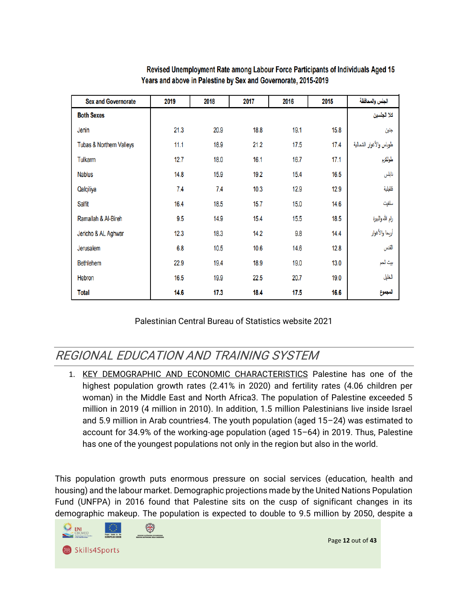| <b>Sex and Governorate</b>          | 2019 | 2018 | 2017 | 2016 | 2015 | الجنس والمحافظة         |
|-------------------------------------|------|------|------|------|------|-------------------------|
| <b>Both Sexes</b>                   |      |      |      |      |      | كلا الجنسين             |
| Jenin                               | 21.3 | 20.9 | 18.8 | 19.1 | 15.8 | جنين                    |
| <b>Tubas &amp; Northern Valleys</b> | 11.1 | 18.9 | 21.2 | 17.5 | 17.4 | طوباس والأغوار الشمالية |
| Tulkarm                             | 12.7 | 18.0 | 16.1 | 16.7 | 17.1 | طولكرم                  |
| <b>Nablus</b>                       | 14.8 | 15.9 | 19.2 | 15.4 | 16.5 | نابلس                   |
| Qalqiliya                           | 7.4  | 7.4  | 10.3 | 12.9 | 12.9 | قلقيلية                 |
| Salfit                              | 16.4 | 18.5 | 15.7 | 15.0 | 14.6 | سلفيت                   |
| Ramallah & Al-Bireh                 | 9.5  | 14.9 | 15.4 | 15.5 | 18.5 | رام الله والبيرة        |
| Jericho & AL Aghwar                 | 12.3 | 18.3 | 14.2 | 9.8  | 14.4 | أربحا والأغوار          |
| Jerusalem                           | 6.8  | 10.5 | 10.6 | 14.6 | 12.8 | القدس                   |
| <b>Bethlehem</b>                    | 22.9 | 19.4 | 18.9 | 19.0 | 13.0 | بيت لحم                 |
| Hebron                              | 16.5 | 19.9 | 22.5 | 20.7 | 19.0 | الخليل                  |
| <b>Total</b>                        | 14.6 | 17.3 | 18.4 | 17.5 | 16.6 | المجموع                 |

Revised Unemployment Rate among Labour Force Participants of Individuals Aged 15 Years and above in Palestine by Sex and Governorate, 2015-2019

Palestinian Central Bureau of Statistics website 2021

## <span id="page-11-0"></span>REGIONAL EDUCATION AND TRAINING SYSTEM

1. KEY DEMOGRAPHIC AND ECONOMIC CHARACTERISTICS Palestine has one of the highest population growth rates (2.41% in 2020) and fertility rates (4.06 children per woman) in the Middle East and North Africa3. The population of Palestine exceeded 5 million in 2019 (4 million in 2010). In addition, 1.5 million Palestinians live inside Israel and 5.9 million in Arab countries4. The youth population (aged 15–24) was estimated to account for 34.9% of the working-age population (aged 15–64) in 2019. Thus, Palestine has one of the youngest populations not only in the region but also in the world.

This population growth puts enormous pressure on social services (education, health and housing) and the labour market. Demographic projections made by the United Nations Population Fund (UNFPA) in 2016 found that Palestine sits on the cusp of significant changes in its demographic makeup. The population is expected to double to 9.5 million by 2050, despite a

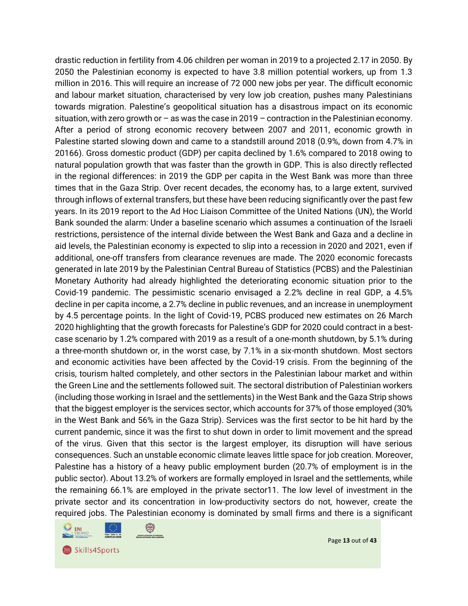drastic reduction in fertility from 4.06 children per woman in 2019 to a projected 2.17 in 2050. By 2050 the Palestinian economy is expected to have 3.8 million potential workers, up from 1.3 million in 2016. This will require an increase of 72 000 new jobs per year. The difficult economic and labour market situation, characterised by very low job creation, pushes many Palestinians towards migration. Palestine's geopolitical situation has a disastrous impact on its economic situation, with zero growth or – as was the case in 2019 – contraction in the Palestinian economy. After a period of strong economic recovery between 2007 and 2011, economic growth in Palestine started slowing down and came to a standstill around 2018 (0.9%, down from 4.7% in 20166). Gross domestic product (GDP) per capita declined by 1.6% compared to 2018 owing to natural population growth that was faster than the growth in GDP. This is also directly reflected in the regional differences: in 2019 the GDP per capita in the West Bank was more than three times that in the Gaza Strip. Over recent decades, the economy has, to a large extent, survived through inflows of external transfers, but these have been reducing significantly over the past few years. In its 2019 report to the Ad Hoc Liaison Committee of the United Nations (UN), the World Bank sounded the alarm: Under a baseline scenario which assumes a continuation of the Israeli restrictions, persistence of the internal divide between the West Bank and Gaza and a decline in aid levels, the Palestinian economy is expected to slip into a recession in 2020 and 2021, even if additional, one-off transfers from clearance revenues are made. The 2020 economic forecasts generated in late 2019 by the Palestinian Central Bureau of Statistics (PCBS) and the Palestinian Monetary Authority had already highlighted the deteriorating economic situation prior to the Covid-19 pandemic. The pessimistic scenario envisaged a 2.2% decline in real GDP, a 4.5% decline in per capita income, a 2.7% decline in public revenues, and an increase in unemployment by 4.5 percentage points. In the light of Covid-19, PCBS produced new estimates on 26 March 2020 highlighting that the growth forecasts for Palestine's GDP for 2020 could contract in a bestcase scenario by 1.2% compared with 2019 as a result of a one-month shutdown, by 5.1% during a three-month shutdown or, in the worst case, by 7.1% in a six-month shutdown. Most sectors and economic activities have been affected by the Covid-19 crisis. From the beginning of the crisis, tourism halted completely, and other sectors in the Palestinian labour market and within the Green Line and the settlements followed suit. The sectoral distribution of Palestinian workers (including those working in Israel and the settlements) in the West Bank and the Gaza Strip shows that the biggest employer is the services sector, which accounts for 37% of those employed (30% in the West Bank and 56% in the Gaza Strip). Services was the first sector to be hit hard by the current pandemic, since it was the first to shut down in order to limit movement and the spread of the virus. Given that this sector is the largest employer, its disruption will have serious consequences. Such an unstable economic climate leaves little space for job creation. Moreover, Palestine has a history of a heavy public employment burden (20.7% of employment is in the public sector). About 13.2% of workers are formally employed in Israel and the settlements, while the remaining 66.1% are employed in the private sector11. The low level of investment in the private sector and its concentration in low-productivity sectors do not, however, create the required jobs. The Palestinian economy is dominated by small firms and there is a significant

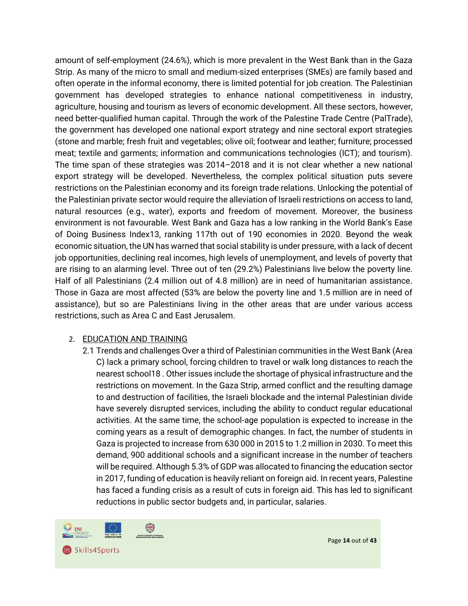amount of self-employment (24.6%), which is more prevalent in the West Bank than in the Gaza Strip. As many of the micro to small and medium-sized enterprises (SMEs) are family based and often operate in the informal economy, there is limited potential for job creation. The Palestinian government has developed strategies to enhance national competitiveness in industry, agriculture, housing and tourism as levers of economic development. All these sectors, however, need better-qualified human capital. Through the work of the Palestine Trade Centre (PalTrade), the government has developed one national export strategy and nine sectoral export strategies (stone and marble; fresh fruit and vegetables; olive oil; footwear and leather; furniture; processed meat; textile and garments; information and communications technologies (ICT); and tourism). The time span of these strategies was 2014–2018 and it is not clear whether a new national export strategy will be developed. Nevertheless, the complex political situation puts severe restrictions on the Palestinian economy and its foreign trade relations. Unlocking the potential of the Palestinian private sector would require the alleviation of Israeli restrictions on access to land, natural resources (e.g., water), exports and freedom of movement. Moreover, the business environment is not favourable. West Bank and Gaza has a low ranking in the World Bank's Ease of Doing Business Index13, ranking 117th out of 190 economies in 2020. Beyond the weak economic situation, the UN has warned that social stability is under pressure, with a lack of decent job opportunities, declining real incomes, high levels of unemployment, and levels of poverty that are rising to an alarming level. Three out of ten (29.2%) Palestinians live below the poverty line. Half of all Palestinians (2.4 million out of 4.8 million) are in need of humanitarian assistance. Those in Gaza are most affected (53% are below the poverty line and 1.5 million are in need of assistance), but so are Palestinians living in the other areas that are under various access restrictions, such as Area C and East Jerusalem.

#### 2. EDUCATION AND TRAINING

2.1 Trends and challenges Over a third of Palestinian communities in the West Bank (Area C) lack a primary school, forcing children to travel or walk long distances to reach the nearest school18 . Other issues include the shortage of physical infrastructure and the restrictions on movement. In the Gaza Strip, armed conflict and the resulting damage to and destruction of facilities, the Israeli blockade and the internal Palestinian divide have severely disrupted services, including the ability to conduct regular educational activities. At the same time, the school-age population is expected to increase in the coming years as a result of demographic changes. In fact, the number of students in Gaza is projected to increase from 630 000 in 2015 to 1.2 million in 2030. To meet this demand, 900 additional schools and a significant increase in the number of teachers will be required. Although 5.3% of GDP was allocated to financing the education sector in 2017, funding of education is heavily reliant on foreign aid. In recent years, Palestine has faced a funding crisis as a result of cuts in foreign aid. This has led to significant reductions in public sector budgets and, in particular, salaries.



Page **14** out of **43**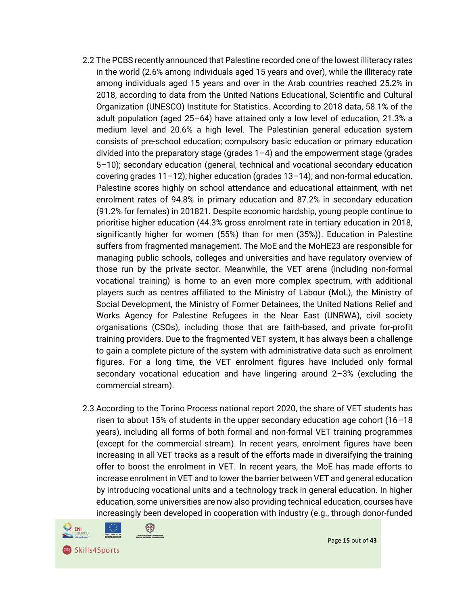- 2.2 The PCBS recently announced that Palestine recorded one of the lowest illiteracy rates in the world (2.6% among individuals aged 15 years and over), while the illiteracy rate among individuals aged 15 years and over in the Arab countries reached 25.2% in 2018, according to data from the United Nations Educational, Scientific and Cultural Organization (UNESCO) Institute for Statistics. According to 2018 data, 58.1% of the adult population (aged 25–64) have attained only a low level of education, 21.3% a medium level and 20.6% a high level. The Palestinian general education system consists of pre-school education; compulsory basic education or primary education divided into the preparatory stage (grades  $1-4$ ) and the empowerment stage (grades 5–10); secondary education (general, technical and vocational secondary education covering grades 11–12); higher education (grades 13–14); and non-formal education. Palestine scores highly on school attendance and educational attainment, with net enrolment rates of 94.8% in primary education and 87.2% in secondary education (91.2% for females) in 201821. Despite economic hardship, young people continue to prioritise higher education (44.3% gross enrolment rate in tertiary education in 2018, significantly higher for women (55%) than for men (35%)). Education in Palestine suffers from fragmented management. The MoE and the MoHE23 are responsible for managing public schools, colleges and universities and have regulatory overview of those run by the private sector. Meanwhile, the VET arena (including non-formal vocational training) is home to an even more complex spectrum, with additional players such as centres affiliated to the Ministry of Labour (MoL), the Ministry of Social Development, the Ministry of Former Detainees, the United Nations Relief and Works Agency for Palestine Refugees in the Near East (UNRWA), civil society organisations (CSOs), including those that are faith-based, and private for-profit training providers. Due to the fragmented VET system, it has always been a challenge to gain a complete picture of the system with administrative data such as enrolment figures. For a long time, the VET enrolment figures have included only formal secondary vocational education and have lingering around 2–3% (excluding the commercial stream).
- 2.3 According to the Torino Process national report 2020, the share of VET students has risen to about 15% of students in the upper secondary education age cohort (16–18 years), including all forms of both formal and non-formal VET training programmes (except for the commercial stream). In recent years, enrolment figures have been increasing in all VET tracks as a result of the efforts made in diversifying the training offer to boost the enrolment in VET. In recent years, the MoE has made efforts to increase enrolment in VET and to lower the barrier between VET and general education by introducing vocational units and a technology track in general education. In higher education, some universities are now also providing technical education, courses have increasingly been developed in cooperation with industry (e.g., through donor-funded



Page **15** out of **43**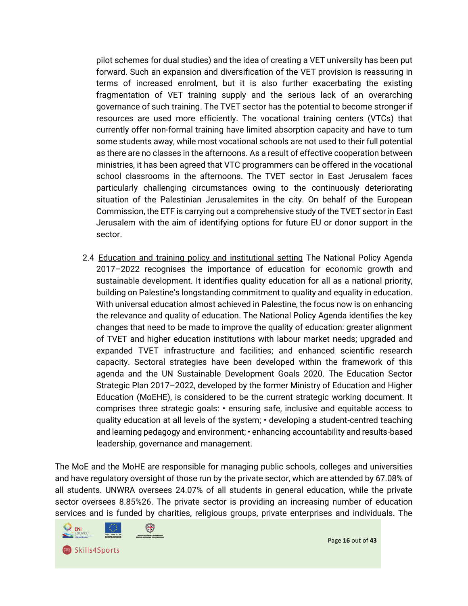pilot schemes for dual studies) and the idea of creating a VET university has been put forward. Such an expansion and diversification of the VET provision is reassuring in terms of increased enrolment, but it is also further exacerbating the existing fragmentation of VET training supply and the serious lack of an overarching governance of such training. The TVET sector has the potential to become stronger if resources are used more efficiently. The vocational training centers (VTCs) that currently offer non-formal training have limited absorption capacity and have to turn some students away, while most vocational schools are not used to their full potential as there are no classes in the afternoons. As a result of effective cooperation between ministries, it has been agreed that VTC programmers can be offered in the vocational school classrooms in the afternoons. The TVET sector in East Jerusalem faces particularly challenging circumstances owing to the continuously deteriorating situation of the Palestinian Jerusalemites in the city. On behalf of the European Commission, the ETF is carrying out a comprehensive study of the TVET sector in East Jerusalem with the aim of identifying options for future EU or donor support in the sector.

2.4 Education and training policy and institutional setting The National Policy Agenda 2017–2022 recognises the importance of education for economic growth and sustainable development. It identifies quality education for all as a national priority, building on Palestine's longstanding commitment to quality and equality in education. With universal education almost achieved in Palestine, the focus now is on enhancing the relevance and quality of education. The National Policy Agenda identifies the key changes that need to be made to improve the quality of education: greater alignment of TVET and higher education institutions with labour market needs; upgraded and expanded TVET infrastructure and facilities; and enhanced scientific research capacity. Sectoral strategies have been developed within the framework of this agenda and the UN Sustainable Development Goals 2020. The Education Sector Strategic Plan 2017–2022, developed by the former Ministry of Education and Higher Education (MoEHE), is considered to be the current strategic working document. It comprises three strategic goals: • ensuring safe, inclusive and equitable access to quality education at all levels of the system; • developing a student-centred teaching and learning pedagogy and environment; • enhancing accountability and results-based leadership, governance and management.

The MoE and the MoHE are responsible for managing public schools, colleges and universities and have regulatory oversight of those run by the private sector, which are attended by 67.08% of all students. UNWRA oversees 24.07% of all students in general education, while the private sector oversees 8.85%26. The private sector is providing an increasing number of education services and is funded by charities, religious groups, private enterprises and individuals. The

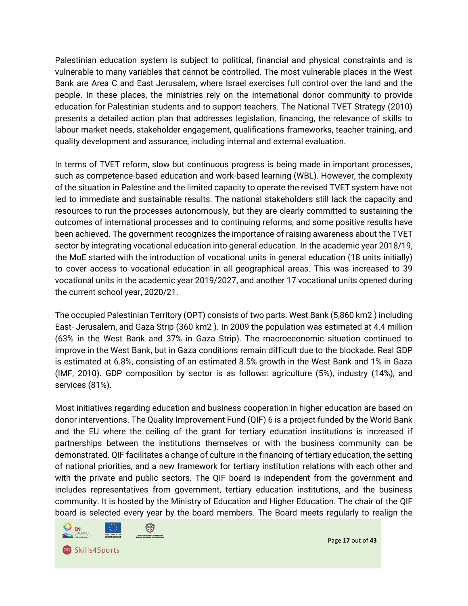Palestinian education system is subject to political, financial and physical constraints and is vulnerable to many variables that cannot be controlled. The most vulnerable places in the West Bank are Area C and East Jerusalem, where Israel exercises full control over the land and the people. In these places, the ministries rely on the international donor community to provide education for Palestinian students and to support teachers. The National TVET Strategy (2010) presents a detailed action plan that addresses legislation, financing, the relevance of skills to labour market needs, stakeholder engagement, qualifications frameworks, teacher training, and quality development and assurance, including internal and external evaluation.

In terms of TVET reform, slow but continuous progress is being made in important processes, such as competence-based education and work-based learning (WBL). However, the complexity of the situation in Palestine and the limited capacity to operate the revised TVET system have not led to immediate and sustainable results. The national stakeholders still lack the capacity and resources to run the processes autonomously, but they are clearly committed to sustaining the outcomes of international processes and to continuing reforms, and some positive results have been achieved. The government recognizes the importance of raising awareness about the TVET sector by integrating vocational education into general education. In the academic year 2018/19, the MoE started with the introduction of vocational units in general education (18 units initially) to cover access to vocational education in all geographical areas. This was increased to 39 vocational units in the academic year 2019/2027, and another 17 vocational units opened during the current school year, 2020/21.

The occupied Palestinian Territory (OPT) consists of two parts. West Bank (5,860 km2 ) including East- Jerusalem, and Gaza Strip (360 km2 ). In 2009 the population was estimated at 4.4 million (63% in the West Bank and 37% in Gaza Strip). The macroeconomic situation continued to improve in the West Bank, but in Gaza conditions remain difficult due to the blockade. Real GDP is estimated at 6.8%, consisting of an estimated 8.5% growth in the West Bank and 1% in Gaza (IMF, 2010). GDP composition by sector is as follows: agriculture (5%), industry (14%), and services (81%).

Most initiatives regarding education and business cooperation in higher education are based on donor interventions. The Quality Improvement Fund (QIF) 6 is a project funded by the World Bank and the EU where the ceiling of the grant for tertiary education institutions is increased if partnerships between the institutions themselves or with the business community can be demonstrated. QIF facilitates a change of culture in the financing of tertiary education, the setting of national priorities, and a new framework for tertiary institution relations with each other and with the private and public sectors. The QIF board is independent from the government and includes representatives from government, tertiary education institutions, and the business community. It is hosted by the Ministry of Education and Higher Education. The chair of the QIF board is selected every year by the board members. The Board meets regularly to realign the

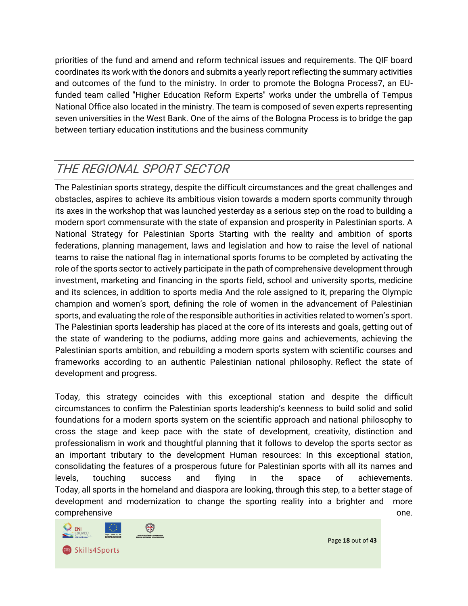priorities of the fund and amend and reform technical issues and requirements. The QIF board coordinates its work with the donors and submits a yearly report reflecting the summary activities and outcomes of the fund to the ministry. In order to promote the Bologna Process7, an EUfunded team called "Higher Education Reform Experts" works under the umbrella of Tempus National Office also located in the ministry. The team is composed of seven experts representing seven universities in the West Bank. One of the aims of the Bologna Process is to bridge the gap between tertiary education institutions and the business community

## <span id="page-17-0"></span>THE REGIONAL SPORT SECTOR

The Palestinian sports strategy, despite the difficult circumstances and the great challenges and obstacles, aspires to achieve its ambitious vision towards a modern sports community through its axes in the workshop that was launched yesterday as a serious step on the road to building a modern sport commensurate with the state of expansion and prosperity in Palestinian sports. A National Strategy for Palestinian Sports Starting with the reality and ambition of sports federations, planning management, laws and legislation and how to raise the level of national teams to raise the national flag in international sports forums to be completed by activating the role of the sports sector to actively participate in the path of comprehensive development through investment, marketing and financing in the sports field, school and university sports, medicine and its sciences, in addition to sports media And the role assigned to it, preparing the Olympic champion and women's sport, defining the role of women in the advancement of Palestinian sports, and evaluating the role of the responsible authorities in activities related to women's sport. The Palestinian sports leadership has placed at the core of its interests and goals, getting out of the state of wandering to the podiums, adding more gains and achievements, achieving the Palestinian sports ambition, and rebuilding a modern sports system with scientific courses and frameworks according to an authentic Palestinian national philosophy. Reflect the state of development and progress.

Today, this strategy coincides with this exceptional station and despite the difficult circumstances to confirm the Palestinian sports leadership's keenness to build solid and solid foundations for a modern sports system on the scientific approach and national philosophy to cross the stage and keep pace with the state of development, creativity, distinction and professionalism in work and thoughtful planning that it follows to develop the sports sector as an important tributary to the development Human resources: In this exceptional station, consolidating the features of a prosperous future for Palestinian sports with all its names and levels, touching success and flying in the space of achievements. Today, all sports in the homeland and diaspora are looking, through this step, to a better stage of development and modernization to change the sporting reality into a brighter and more comprehensive one.



Page **18** out of **43**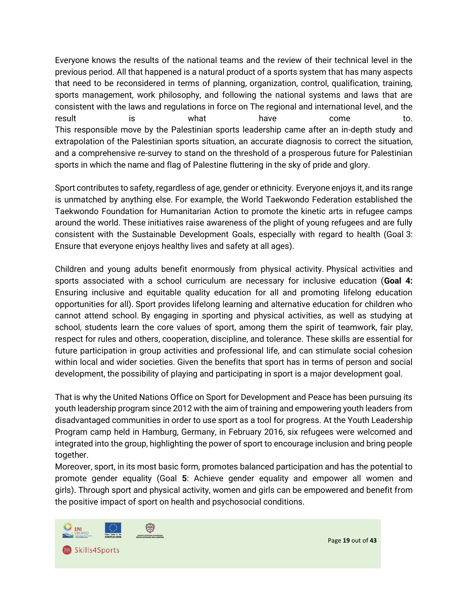Everyone knows the results of the national teams and the review of their technical level in the previous period. All that happened is a natural product of a sports system that has many aspects that need to be reconsidered in terms of planning, organization, control, qualification, training, sports management, work philosophy, and following the national systems and laws that are consistent with the laws and regulations in force on The regional and international level, and the result is what have come to. This responsible move by the Palestinian sports leadership came after an in-depth study and extrapolation of the Palestinian sports situation, an accurate diagnosis to correct the situation, and a comprehensive re-survey to stand on the threshold of a prosperous future for Palestinian sports in which the name and flag of Palestine fluttering in the sky of pride and glory.

Sport contributes to safety, regardless of age, gender or ethnicity. Everyone enjoys it, and its range is unmatched by anything else. For example, the World Taekwondo Federation established the Taekwondo Foundation for Humanitarian Action to promote the kinetic arts in refugee camps around the world. These initiatives raise awareness of the plight of young refugees and are fully consistent with the Sustainable Development Goals, especially with regard to health (Goal 3: Ensure that everyone enjoys healthy lives and safety at all ages).

Children and young adults benefit enormously from physical activity. Physical activities and sports associated with a school curriculum are necessary for inclusive education (**Goal 4:**  Ensuring inclusive and equitable quality education for all and promoting lifelong education opportunities for all). Sport provides lifelong learning and alternative education for children who cannot attend school. By engaging in sporting and physical activities, as well as studying at school, students learn the core values of sport, among them the spirit of teamwork, fair play, respect for rules and others, cooperation, discipline, and tolerance. These skills are essential for future participation in group activities and professional life, and can stimulate social cohesion within local and wider societies. Given the benefits that sport has in terms of person and social development, the possibility of playing and participating in sport is a major development goal.

That is why the United Nations Office on Sport for Development and Peace has been pursuing its youth leadership program since 2012 with the aim of training and empowering youth leaders from disadvantaged communities in order to use sport as a tool for progress. At the Youth Leadership Program camp held in Hamburg, Germany, in February 2016, six refugees were welcomed and integrated into the group, highlighting the power of sport to encourage inclusion and bring people together.

Moreover, sport, in its most basic form, promotes balanced participation and has the potential to promote gender equality (Goal **5**: Achieve gender equality and empower all women and girls). Through sport and physical activity, women and girls can be empowered and benefit from the positive impact of sport on health and psychosocial conditions.



Page **19** out of **43**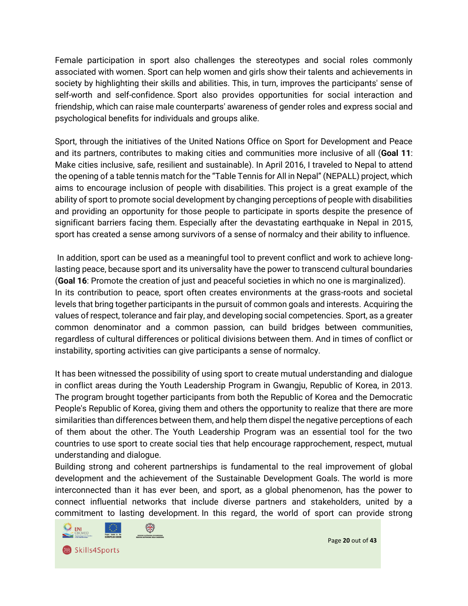Female participation in sport also challenges the stereotypes and social roles commonly associated with women. Sport can help women and girls show their talents and achievements in society by highlighting their skills and abilities. This, in turn, improves the participants' sense of self-worth and self-confidence. Sport also provides opportunities for social interaction and friendship, which can raise male counterparts' awareness of gender roles and express social and psychological benefits for individuals and groups alike.

Sport, through the initiatives of the United Nations Office on Sport for Development and Peace and its partners, contributes to making cities and communities more inclusive of all (**Goal 11**: Make cities inclusive, safe, resilient and sustainable). In April 2016, I traveled to Nepal to attend the opening of a table tennis match for the "Table Tennis for All in Nepal" (NEPALL) project, which aims to encourage inclusion of people with disabilities. This project is a great example of the ability of sport to promote social development by changing perceptions of people with disabilities and providing an opportunity for those people to participate in sports despite the presence of significant barriers facing them. Especially after the devastating earthquake in Nepal in 2015, sport has created a sense among survivors of a sense of normalcy and their ability to influence.

In addition, sport can be used as a meaningful tool to prevent conflict and work to achieve longlasting peace, because sport and its universality have the power to transcend cultural boundaries (**Goal 16**: Promote the creation of just and peaceful societies in which no one is marginalized). In its contribution to peace, sport often creates environments at the grass-roots and societal levels that bring together participants in the pursuit of common goals and interests. Acquiring the values of respect, tolerance and fair play, and developing social competencies. Sport, as a greater common denominator and a common passion, can build bridges between communities, regardless of cultural differences or political divisions between them. And in times of conflict or instability, sporting activities can give participants a sense of normalcy.

It has been witnessed the possibility of using sport to create mutual understanding and dialogue in conflict areas during the Youth Leadership Program in Gwangju, Republic of Korea, in 2013. The program brought together participants from both the Republic of Korea and the Democratic People's Republic of Korea, giving them and others the opportunity to realize that there are more similarities than differences between them, and help them dispel the negative perceptions of each of them about the other. The Youth Leadership Program was an essential tool for the two countries to use sport to create social ties that help encourage rapprochement, respect, mutual understanding and dialogue.

Building strong and coherent partnerships is fundamental to the real improvement of global development and the achievement of the Sustainable Development Goals. The world is more interconnected than it has ever been, and sport, as a global phenomenon, has the power to connect influential networks that include diverse partners and stakeholders, united by a commitment to lasting development. In this regard, the world of sport can provide strong



Page **20** out of **43**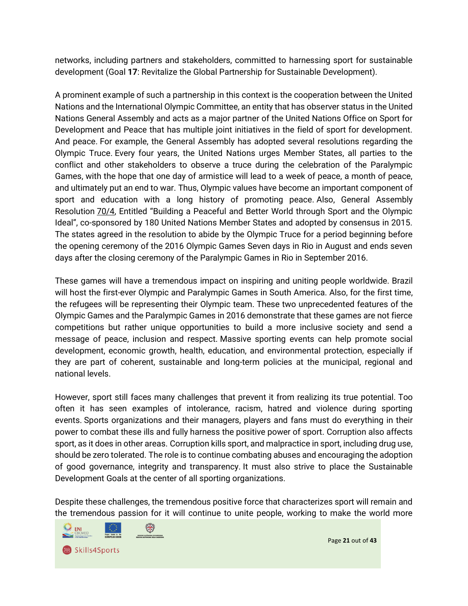networks, including partners and stakeholders, committed to harnessing sport for sustainable development (Goal **17**: Revitalize the Global Partnership for Sustainable Development).

A prominent example of such a partnership in this context is the cooperation between the United Nations and the International Olympic Committee, an entity that has observer status in the United Nations General Assembly and acts as a major partner of the United Nations Office on Sport for Development and Peace that has multiple joint initiatives in the field of sport for development. And peace. For example, the General Assembly has adopted several resolutions regarding the Olympic Truce. Every four years, the United Nations urges Member States, all parties to the conflict and other stakeholders to observe a truce during the celebration of the Paralympic Games, with the hope that one day of armistice will lead to a week of peace, a month of peace, and ultimately put an end to war. Thus, Olympic values have become an important component of sport and education with a long history of promoting peace. Also, General Assembly Resolution [70/4,](http://undocs.org/ar/A/RES/70/4) Entitled "Building a Peaceful and Better World through Sport and the Olympic Ideal", co-sponsored by 180 United Nations Member States and adopted by consensus in 2015. The states agreed in the resolution to abide by the Olympic Truce for a period beginning before the opening ceremony of the 2016 Olympic Games Seven days in Rio in August and ends seven days after the closing ceremony of the Paralympic Games in Rio in September 2016.

These games will have a tremendous impact on inspiring and uniting people worldwide. Brazil will host the first-ever Olympic and Paralympic Games in South America. Also, for the first time, the refugees will be representing their Olympic team. These two unprecedented features of the Olympic Games and the Paralympic Games in 2016 demonstrate that these games are not fierce competitions but rather unique opportunities to build a more inclusive society and send a message of peace, inclusion and respect. Massive sporting events can help promote social development, economic growth, health, education, and environmental protection, especially if they are part of coherent, sustainable and long-term policies at the municipal, regional and national levels.

However, sport still faces many challenges that prevent it from realizing its true potential. Too often it has seen examples of intolerance, racism, hatred and violence during sporting events. Sports organizations and their managers, players and fans must do everything in their power to combat these ills and fully harness the positive power of sport. Corruption also affects sport, as it does in other areas. Corruption kills sport, and malpractice in sport, including drug use, should be zero tolerated. The role is to continue combating abuses and encouraging the adoption of good governance, integrity and transparency. It must also strive to place the Sustainable Development Goals at the center of all sporting organizations.

Despite these challenges, the tremendous positive force that characterizes sport will remain and the tremendous passion for it will continue to unite people, working to make the world more



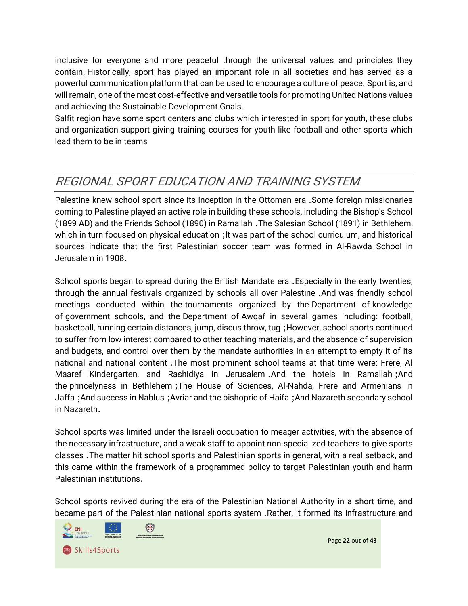inclusive for everyone and more peaceful through the universal values and principles they contain. Historically, sport has played an important role in all societies and has served as a powerful communication platform that can be used to encourage a culture of peace. Sport is, and will remain, one of the most cost-effective and versatile tools for promoting United Nations values and achieving the Sustainable Development Goals.

Salfit region have some sport centers and clubs which interested in sport for youth, these clubs and organization support giving training courses for youth like football and other sports which lead them to be in teams

## <span id="page-21-0"></span>REGIONAL SPORT EDUCATION AND TRAINING SYSTEM

Palestine knew school sport since its inception in the Ottoman era .Some foreign missionaries coming to Palestine played an active role in building these schools, including the Bishop's School (1899 AD) and the Friends School (1890) in Ramallah .The Salesian School (1891) in Bethlehem, which in turn focused on physical education ; It was part of the school curriculum, and historical sources indicate that the first Palestinian soccer team was formed in Al-Rawda School in Jerusalem in 1908 .

School sports began to spread during the British Mandate era .Especially in the early twenties, through the annual festivals organized by schools all over Palestine .And was friendly school meetings conducted within the tournaments organized by the Department of knowledge of government schools, and the Department of Awqaf in several games including: football, basketball, running certain distances, jump, discus throw, tug ;However, school sports continued to suffer from low interest compared to other teaching materials, and the absence of supervision and budgets, and control over them by the mandate authorities in an attempt to empty it of its national and national content .The most prominent school teams at that time were: Frere, Al Maaref Kindergarten, and Rashidiya in Jerusalem .And the hotels in Ramallah ;And the princelyness in Bethlehem ;The House of Sciences, Al-Nahda, Frere and Armenians in Jaffa ;And success in Nablus ;Avriar and the bishopric of Haifa ;And Nazareth secondary school in Nazareth.

School sports was limited under the Israeli occupation to meager activities, with the absence of the necessary infrastructure, and a weak staff to appoint non-specialized teachers to give sports classes .The matter hit school sports and Palestinian sports in general, with a real setback, and this came within the framework of a programmed policy to target Palestinian youth and harm Palestinian institutions .

School sports revived during the era of the Palestinian National Authority in a short time, and became part of the Palestinian national sports system .Rather, it formed its infrastructure and

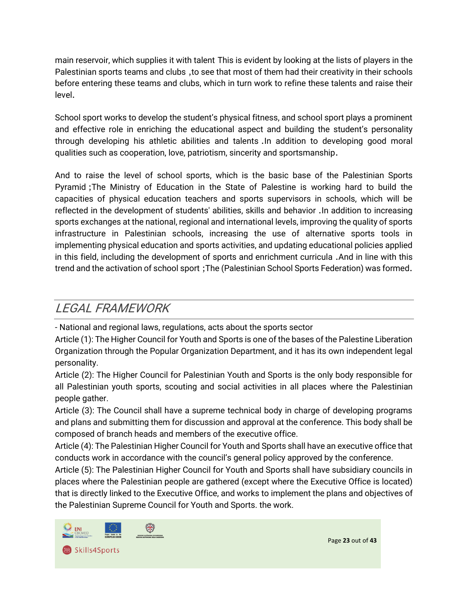main reservoir, which supplies it with talent This is evident by looking at the lists of players in the Palestinian sports teams and clubs ,to see that most of them had their creativity in their schools before entering these teams and clubs, which in turn work to refine these talents and raise their level.

School sport works to develop the student's physical fitness, and school sport plays a prominent and effective role in enriching the educational aspect and building the student's personality through developing his athletic abilities and talents .In addition to developing good moral qualities such as cooperation, love, patriotism, sincerity and sportsmanship .

And to raise the level of school sports, which is the basic base of the Palestinian Sports Pyramid ;The Ministry of Education in the State of Palestine is working hard to build the capacities of physical education teachers and sports supervisors in schools, which will be reflected in the development of students' abilities, skills and behavior .In addition to increasing sports exchanges at the national, regional and international levels, improving the quality of sports infrastructure in Palestinian schools, increasing the use of alternative sports tools in implementing physical education and sports activities, and updating educational policies applied in this field, including the development of sports and enrichment curricula .And in line with this trend and the activation of school sport ;The (Palestinian School Sports Federation) was formed.

### <span id="page-22-0"></span>LEGAL FRAMEWORK

- National and regional laws, regulations, acts about the sports sector

Article (1): The Higher Council for Youth and Sports is one of the bases of the Palestine Liberation Organization through the Popular Organization Department, and it has its own independent legal personality.

Article (2): The Higher Council for Palestinian Youth and Sports is the only body responsible for all Palestinian youth sports, scouting and social activities in all places where the Palestinian people gather.

Article (3): The Council shall have a supreme technical body in charge of developing programs and plans and submitting them for discussion and approval at the conference. This body shall be composed of branch heads and members of the executive office.

Article (4): The Palestinian Higher Council for Youth and Sports shall have an executive office that conducts work in accordance with the council's general policy approved by the conference.

Article (5): The Palestinian Higher Council for Youth and Sports shall have subsidiary councils in places where the Palestinian people are gathered (except where the Executive Office is located) that is directly linked to the Executive Office, and works to implement the plans and objectives of the Palestinian Supreme Council for Youth and Sports. the work.



Page **23** out of **43**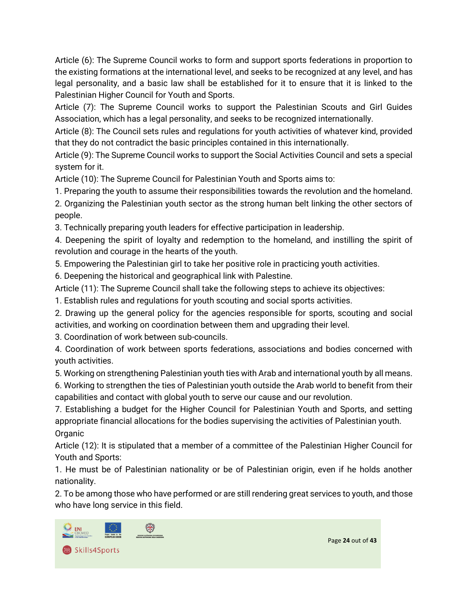Article (6): The Supreme Council works to form and support sports federations in proportion to the existing formations at the international level, and seeks to be recognized at any level, and has legal personality, and a basic law shall be established for it to ensure that it is linked to the Palestinian Higher Council for Youth and Sports.

Article (7): The Supreme Council works to support the Palestinian Scouts and Girl Guides Association, which has a legal personality, and seeks to be recognized internationally.

Article (8): The Council sets rules and regulations for youth activities of whatever kind, provided that they do not contradict the basic principles contained in this internationally.

Article (9): The Supreme Council works to support the Social Activities Council and sets a special system for it.

Article (10): The Supreme Council for Palestinian Youth and Sports aims to:

1. Preparing the youth to assume their responsibilities towards the revolution and the homeland.

2. Organizing the Palestinian youth sector as the strong human belt linking the other sectors of people.

3. Technically preparing youth leaders for effective participation in leadership.

4. Deepening the spirit of loyalty and redemption to the homeland, and instilling the spirit of revolution and courage in the hearts of the youth.

5. Empowering the Palestinian girl to take her positive role in practicing youth activities.

6. Deepening the historical and geographical link with Palestine.

Article (11): The Supreme Council shall take the following steps to achieve its objectives:

1. Establish rules and regulations for youth scouting and social sports activities.

2. Drawing up the general policy for the agencies responsible for sports, scouting and social activities, and working on coordination between them and upgrading their level.

3. Coordination of work between sub-councils.

4. Coordination of work between sports federations, associations and bodies concerned with youth activities.

5. Working on strengthening Palestinian youth ties with Arab and international youth by all means.

6. Working to strengthen the ties of Palestinian youth outside the Arab world to benefit from their capabilities and contact with global youth to serve our cause and our revolution.

7. Establishing a budget for the Higher Council for Palestinian Youth and Sports, and setting appropriate financial allocations for the bodies supervising the activities of Palestinian youth. **Organic** 

Article (12): It is stipulated that a member of a committee of the Palestinian Higher Council for Youth and Sports:

1. He must be of Palestinian nationality or be of Palestinian origin, even if he holds another nationality.

2. To be among those who have performed or are still rendering great services to youth, and those who have long service in this field.

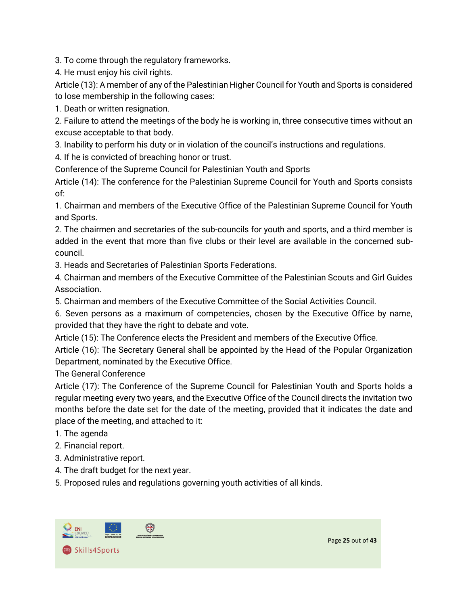3. To come through the regulatory frameworks.

4. He must enjoy his civil rights.

Article (13): A member of any of the Palestinian Higher Council for Youth and Sports is considered to lose membership in the following cases:

1. Death or written resignation.

2. Failure to attend the meetings of the body he is working in, three consecutive times without an excuse acceptable to that body.

3. Inability to perform his duty or in violation of the council's instructions and regulations.

4. If he is convicted of breaching honor or trust.

Conference of the Supreme Council for Palestinian Youth and Sports

Article (14): The conference for the Palestinian Supreme Council for Youth and Sports consists of:

1. Chairman and members of the Executive Office of the Palestinian Supreme Council for Youth and Sports.

2. The chairmen and secretaries of the sub-councils for youth and sports, and a third member is added in the event that more than five clubs or their level are available in the concerned subcouncil.

3. Heads and Secretaries of Palestinian Sports Federations.

4. Chairman and members of the Executive Committee of the Palestinian Scouts and Girl Guides Association.

5. Chairman and members of the Executive Committee of the Social Activities Council.

6. Seven persons as a maximum of competencies, chosen by the Executive Office by name, provided that they have the right to debate and vote.

Article (15): The Conference elects the President and members of the Executive Office.

Article (16): The Secretary General shall be appointed by the Head of the Popular Organization Department, nominated by the Executive Office.

The General Conference

Article (17): The Conference of the Supreme Council for Palestinian Youth and Sports holds a regular meeting every two years, and the Executive Office of the Council directs the invitation two months before the date set for the date of the meeting, provided that it indicates the date and place of the meeting, and attached to it:

- 1. The agenda
- 2. Financial report.
- 3. Administrative report.
- 4. The draft budget for the next year.
- 5. Proposed rules and regulations governing youth activities of all kinds.

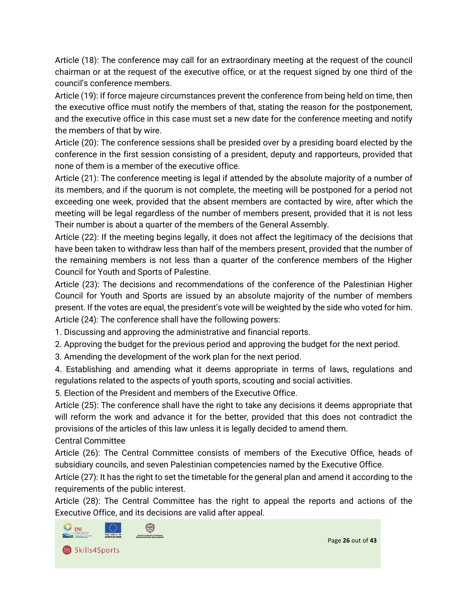Article (18): The conference may call for an extraordinary meeting at the request of the council chairman or at the request of the executive office, or at the request signed by one third of the council's conference members.

Article (19): If force majeure circumstances prevent the conference from being held on time, then the executive office must notify the members of that, stating the reason for the postponement, and the executive office in this case must set a new date for the conference meeting and notify the members of that by wire.

Article (20): The conference sessions shall be presided over by a presiding board elected by the conference in the first session consisting of a president, deputy and rapporteurs, provided that none of them is a member of the executive office.

Article (21): The conference meeting is legal if attended by the absolute majority of a number of its members, and if the quorum is not complete, the meeting will be postponed for a period not exceeding one week, provided that the absent members are contacted by wire, after which the meeting will be legal regardless of the number of members present, provided that it is not less Their number is about a quarter of the members of the General Assembly.

Article (22): If the meeting begins legally, it does not affect the legitimacy of the decisions that have been taken to withdraw less than half of the members present, provided that the number of the remaining members is not less than a quarter of the conference members of the Higher Council for Youth and Sports of Palestine.

Article (23): The decisions and recommendations of the conference of the Palestinian Higher Council for Youth and Sports are issued by an absolute majority of the number of members present. If the votes are equal, the president's vote will be weighted by the side who voted for him. Article (24): The conference shall have the following powers:

1. Discussing and approving the administrative and financial reports.

2. Approving the budget for the previous period and approving the budget for the next period.

3. Amending the development of the work plan for the next period.

4. Establishing and amending what it deems appropriate in terms of laws, regulations and regulations related to the aspects of youth sports, scouting and social activities.

5. Election of the President and members of the Executive Office.

Article (25): The conference shall have the right to take any decisions it deems appropriate that will reform the work and advance it for the better, provided that this does not contradict the provisions of the articles of this law unless it is legally decided to amend them.

Central Committee

Article (26): The Central Committee consists of members of the Executive Office, heads of subsidiary councils, and seven Palestinian competencies named by the Executive Office.

Article (27): It has the right to set the timetable for the general plan and amend it according to the requirements of the public interest.

Article (28): The Central Committee has the right to appeal the reports and actions of the Executive Office, and its decisions are valid after appeal.

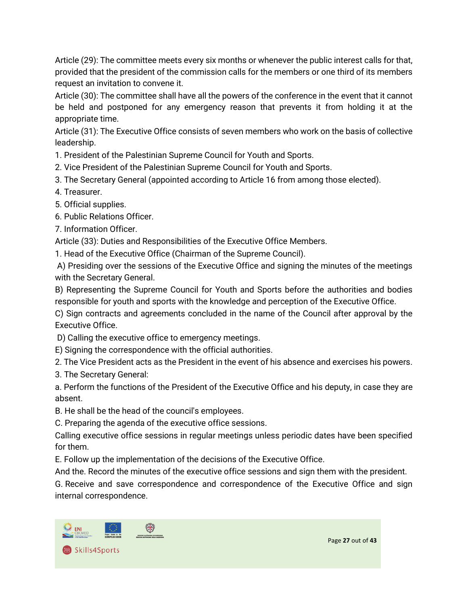Article (29): The committee meets every six months or whenever the public interest calls for that, provided that the president of the commission calls for the members or one third of its members request an invitation to convene it.

Article (30): The committee shall have all the powers of the conference in the event that it cannot be held and postponed for any emergency reason that prevents it from holding it at the appropriate time.

Article (31): The Executive Office consists of seven members who work on the basis of collective leadership.

1. President of the Palestinian Supreme Council for Youth and Sports.

2. Vice President of the Palestinian Supreme Council for Youth and Sports.

- 3. The Secretary General (appointed according to Article 16 from among those elected).
- 4. Treasurer.
- 5. Official supplies.
- 6. Public Relations Officer.
- 7. Information Officer.

Article (33): Duties and Responsibilities of the Executive Office Members.

1. Head of the Executive Office (Chairman of the Supreme Council).

A) Presiding over the sessions of the Executive Office and signing the minutes of the meetings with the Secretary General.

B) Representing the Supreme Council for Youth and Sports before the authorities and bodies responsible for youth and sports with the knowledge and perception of the Executive Office.

C) Sign contracts and agreements concluded in the name of the Council after approval by the Executive Office.

D) Calling the executive office to emergency meetings.

E) Signing the correspondence with the official authorities.

2. The Vice President acts as the President in the event of his absence and exercises his powers.

3. The Secretary General:

a. Perform the functions of the President of the Executive Office and his deputy, in case they are absent.

B. He shall be the head of the council's employees.

C. Preparing the agenda of the executive office sessions.

Calling executive office sessions in regular meetings unless periodic dates have been specified for them.

E. Follow up the implementation of the decisions of the Executive Office.

And the. Record the minutes of the executive office sessions and sign them with the president.

G. Receive and save correspondence and correspondence of the Executive Office and sign internal correspondence.



Page **27** out of **43**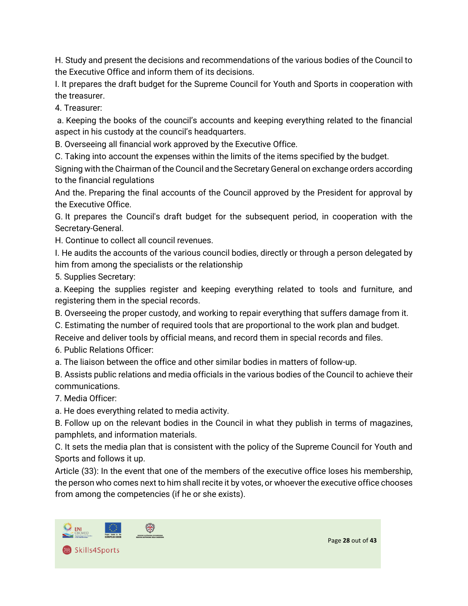H. Study and present the decisions and recommendations of the various bodies of the Council to the Executive Office and inform them of its decisions.

I. It prepares the draft budget for the Supreme Council for Youth and Sports in cooperation with the treasurer.

4. Treasurer:

a. Keeping the books of the council's accounts and keeping everything related to the financial aspect in his custody at the council's headquarters.

B. Overseeing all financial work approved by the Executive Office.

C. Taking into account the expenses within the limits of the items specified by the budget.

Signing with the Chairman of the Council and the Secretary General on exchange orders according to the financial regulations

And the. Preparing the final accounts of the Council approved by the President for approval by the Executive Office.

G. It prepares the Council's draft budget for the subsequent period, in cooperation with the Secretary-General.

H. Continue to collect all council revenues.

I. He audits the accounts of the various council bodies, directly or through a person delegated by him from among the specialists or the relationship

5. Supplies Secretary:

a. Keeping the supplies register and keeping everything related to tools and furniture, and registering them in the special records.

B. Overseeing the proper custody, and working to repair everything that suffers damage from it.

C. Estimating the number of required tools that are proportional to the work plan and budget.

Receive and deliver tools by official means, and record them in special records and files.

6. Public Relations Officer:

a. The liaison between the office and other similar bodies in matters of follow-up.

B. Assists public relations and media officials in the various bodies of the Council to achieve their communications.

7. Media Officer:

a. He does everything related to media activity.

B. Follow up on the relevant bodies in the Council in what they publish in terms of magazines, pamphlets, and information materials.

C. It sets the media plan that is consistent with the policy of the Supreme Council for Youth and Sports and follows it up.

Article (33): In the event that one of the members of the executive office loses his membership, the person who comes next to him shall recite it by votes, or whoever the executive office chooses from among the competencies (if he or she exists).



Page **28** out of **43**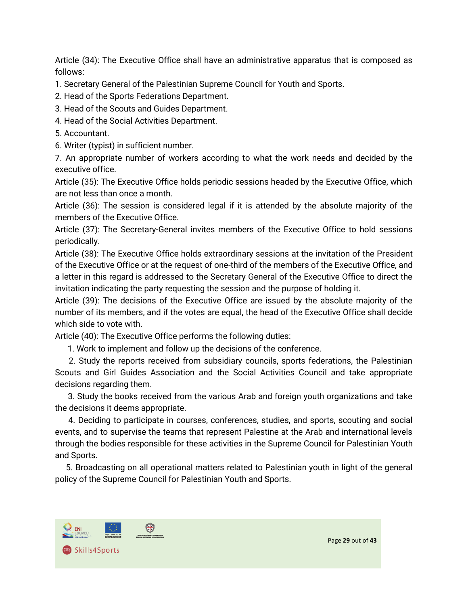Article (34): The Executive Office shall have an administrative apparatus that is composed as follows:

1. Secretary General of the Palestinian Supreme Council for Youth and Sports.

2. Head of the Sports Federations Department.

3. Head of the Scouts and Guides Department.

4. Head of the Social Activities Department.

5. Accountant.

6. Writer (typist) in sufficient number.

7. An appropriate number of workers according to what the work needs and decided by the executive office.

Article (35): The Executive Office holds periodic sessions headed by the Executive Office, which are not less than once a month.

Article (36): The session is considered legal if it is attended by the absolute majority of the members of the Executive Office.

Article (37): The Secretary-General invites members of the Executive Office to hold sessions periodically.

Article (38): The Executive Office holds extraordinary sessions at the invitation of the President of the Executive Office or at the request of one-third of the members of the Executive Office, and a letter in this regard is addressed to the Secretary General of the Executive Office to direct the invitation indicating the party requesting the session and the purpose of holding it.

Article (39): The decisions of the Executive Office are issued by the absolute majority of the number of its members, and if the votes are equal, the head of the Executive Office shall decide which side to vote with.

Article (40): The Executive Office performs the following duties:

1. Work to implement and follow up the decisions of the conference.

 2. Study the reports received from subsidiary councils, sports federations, the Palestinian Scouts and Girl Guides Association and the Social Activities Council and take appropriate decisions regarding them.

 3. Study the books received from the various Arab and foreign youth organizations and take the decisions it deems appropriate.

 4. Deciding to participate in courses, conferences, studies, and sports, scouting and social events, and to supervise the teams that represent Palestine at the Arab and international levels through the bodies responsible for these activities in the Supreme Council for Palestinian Youth and Sports.

 5. Broadcasting on all operational matters related to Palestinian youth in light of the general policy of the Supreme Council for Palestinian Youth and Sports.

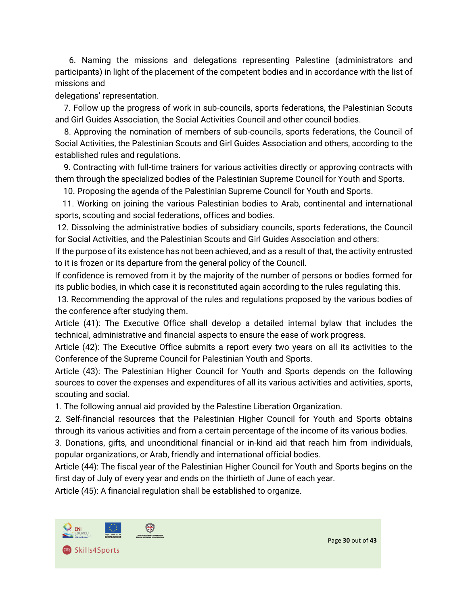6. Naming the missions and delegations representing Palestine (administrators and participants) in light of the placement of the competent bodies and in accordance with the list of missions and

delegations' representation.

 7. Follow up the progress of work in sub-councils, sports federations, the Palestinian Scouts and Girl Guides Association, the Social Activities Council and other council bodies.

 8. Approving the nomination of members of sub-councils, sports federations, the Council of Social Activities, the Palestinian Scouts and Girl Guides Association and others, according to the established rules and regulations.

 9. Contracting with full-time trainers for various activities directly or approving contracts with them through the specialized bodies of the Palestinian Supreme Council for Youth and Sports.

10. Proposing the agenda of the Palestinian Supreme Council for Youth and Sports.

 11. Working on joining the various Palestinian bodies to Arab, continental and international sports, scouting and social federations, offices and bodies.

12. Dissolving the administrative bodies of subsidiary councils, sports federations, the Council for Social Activities, and the Palestinian Scouts and Girl Guides Association and others:

If the purpose of its existence has not been achieved, and as a result of that, the activity entrusted to it is frozen or its departure from the general policy of the Council.

If confidence is removed from it by the majority of the number of persons or bodies formed for its public bodies, in which case it is reconstituted again according to the rules regulating this.

13. Recommending the approval of the rules and regulations proposed by the various bodies of the conference after studying them.

Article (41): The Executive Office shall develop a detailed internal bylaw that includes the technical, administrative and financial aspects to ensure the ease of work progress.

Article (42): The Executive Office submits a report every two years on all its activities to the Conference of the Supreme Council for Palestinian Youth and Sports.

Article (43): The Palestinian Higher Council for Youth and Sports depends on the following sources to cover the expenses and expenditures of all its various activities and activities, sports, scouting and social.

1. The following annual aid provided by the Palestine Liberation Organization.

2. Self-financial resources that the Palestinian Higher Council for Youth and Sports obtains through its various activities and from a certain percentage of the income of its various bodies.

3. Donations, gifts, and unconditional financial or in-kind aid that reach him from individuals, popular organizations, or Arab, friendly and international official bodies.

Article (44): The fiscal year of the Palestinian Higher Council for Youth and Sports begins on the first day of July of every year and ends on the thirtieth of June of each year.

Article (45): A financial regulation shall be established to organize.

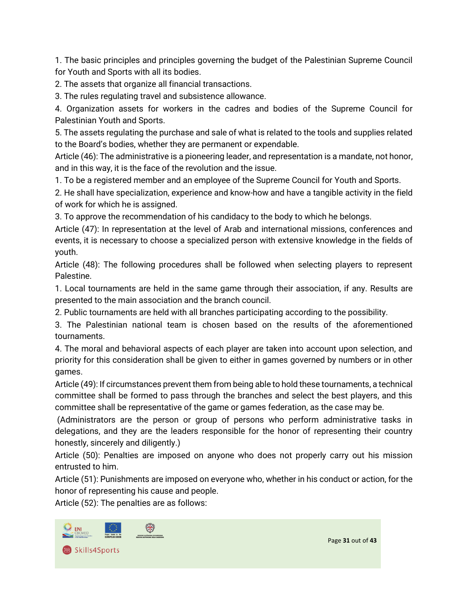1. The basic principles and principles governing the budget of the Palestinian Supreme Council for Youth and Sports with all its bodies.

2. The assets that organize all financial transactions.

3. The rules regulating travel and subsistence allowance.

4. Organization assets for workers in the cadres and bodies of the Supreme Council for Palestinian Youth and Sports.

5. The assets regulating the purchase and sale of what is related to the tools and supplies related to the Board's bodies, whether they are permanent or expendable.

Article (46): The administrative is a pioneering leader, and representation is a mandate, not honor, and in this way, it is the face of the revolution and the issue.

1. To be a registered member and an employee of the Supreme Council for Youth and Sports.

2. He shall have specialization, experience and know-how and have a tangible activity in the field of work for which he is assigned.

3. To approve the recommendation of his candidacy to the body to which he belongs.

Article (47): In representation at the level of Arab and international missions, conferences and events, it is necessary to choose a specialized person with extensive knowledge in the fields of youth.

Article (48): The following procedures shall be followed when selecting players to represent Palestine.

1. Local tournaments are held in the same game through their association, if any. Results are presented to the main association and the branch council.

2. Public tournaments are held with all branches participating according to the possibility.

3. The Palestinian national team is chosen based on the results of the aforementioned tournaments.

4. The moral and behavioral aspects of each player are taken into account upon selection, and priority for this consideration shall be given to either in games governed by numbers or in other games.

Article (49): If circumstances prevent them from being able to hold these tournaments, a technical committee shall be formed to pass through the branches and select the best players, and this committee shall be representative of the game or games federation, as the case may be.

(Administrators are the person or group of persons who perform administrative tasks in delegations, and they are the leaders responsible for the honor of representing their country honestly, sincerely and diligently.)

Article (50): Penalties are imposed on anyone who does not properly carry out his mission entrusted to him.

Article (51): Punishments are imposed on everyone who, whether in his conduct or action, for the honor of representing his cause and people.

Article (52): The penalties are as follows:

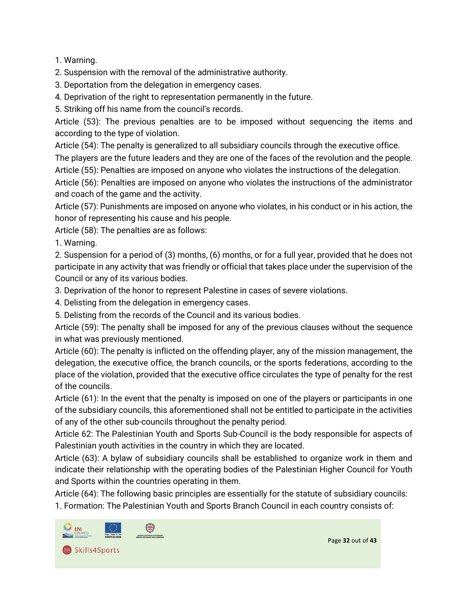1. Warning.

2. Suspension with the removal of the administrative authority.

3. Deportation from the delegation in emergency cases.

4. Deprivation of the right to representation permanently in the future.

5. Striking off his name from the council's records.

Article (53): The previous penalties are to be imposed without sequencing the items and according to the type of violation.

Article (54): The penalty is generalized to all subsidiary councils through the executive office.

The players are the future leaders and they are one of the faces of the revolution and the people.

Article (55): Penalties are imposed on anyone who violates the instructions of the delegation.

Article (56): Penalties are imposed on anyone who violates the instructions of the administrator and coach of the game and the activity.

Article (57): Punishments are imposed on anyone who violates, in his conduct or in his action, the honor of representing his cause and his people.

Article (58): The penalties are as follows:

1. Warning.

2. Suspension for a period of (3) months, (6) months, or for a full year, provided that he does not participate in any activity that was friendly or official that takes place under the supervision of the Council or any of its various bodies.

3. Deprivation of the honor to represent Palestine in cases of severe violations.

4. Delisting from the delegation in emergency cases.

5. Delisting from the records of the Council and its various bodies.

Article (59): The penalty shall be imposed for any of the previous clauses without the sequence in what was previously mentioned.

Article (60): The penalty is inflicted on the offending player, any of the mission management, the delegation, the executive office, the branch councils, or the sports federations, according to the place of the violation, provided that the executive office circulates the type of penalty for the rest of the councils.

Article (61): In the event that the penalty is imposed on one of the players or participants in one of the subsidiary councils, this aforementioned shall not be entitled to participate in the activities of any of the other sub-councils throughout the penalty period.

Article 62: The Palestinian Youth and Sports Sub-Council is the body responsible for aspects of Palestinian youth activities in the country in which they are located.

Article (63): A bylaw of subsidiary councils shall be established to organize work in them and indicate their relationship with the operating bodies of the Palestinian Higher Council for Youth and Sports within the countries operating in them.

Article (64): The following basic principles are essentially for the statute of subsidiary councils:

1. Formation: The Palestinian Youth and Sports Branch Council in each country consists of:

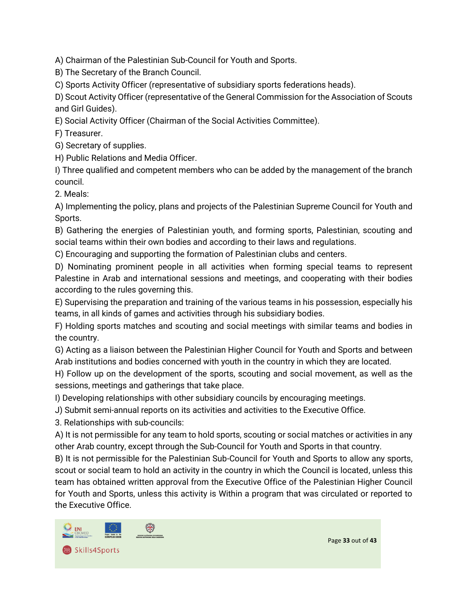A) Chairman of the Palestinian Sub-Council for Youth and Sports.

B) The Secretary of the Branch Council.

C) Sports Activity Officer (representative of subsidiary sports federations heads).

D) Scout Activity Officer (representative of the General Commission for the Association of Scouts and Girl Guides).

E) Social Activity Officer (Chairman of the Social Activities Committee).

F) Treasurer.

G) Secretary of supplies.

H) Public Relations and Media Officer.

I) Three qualified and competent members who can be added by the management of the branch council.

2. Meals:

A) Implementing the policy, plans and projects of the Palestinian Supreme Council for Youth and Sports.

B) Gathering the energies of Palestinian youth, and forming sports, Palestinian, scouting and social teams within their own bodies and according to their laws and regulations.

C) Encouraging and supporting the formation of Palestinian clubs and centers.

D) Nominating prominent people in all activities when forming special teams to represent Palestine in Arab and international sessions and meetings, and cooperating with their bodies according to the rules governing this.

E) Supervising the preparation and training of the various teams in his possession, especially his teams, in all kinds of games and activities through his subsidiary bodies.

F) Holding sports matches and scouting and social meetings with similar teams and bodies in the country.

G) Acting as a liaison between the Palestinian Higher Council for Youth and Sports and between Arab institutions and bodies concerned with youth in the country in which they are located.

H) Follow up on the development of the sports, scouting and social movement, as well as the sessions, meetings and gatherings that take place.

I) Developing relationships with other subsidiary councils by encouraging meetings.

J) Submit semi-annual reports on its activities and activities to the Executive Office.

3. Relationships with sub-councils:

A) It is not permissible for any team to hold sports, scouting or social matches or activities in any other Arab country, except through the Sub-Council for Youth and Sports in that country.

B) It is not permissible for the Palestinian Sub-Council for Youth and Sports to allow any sports, scout or social team to hold an activity in the country in which the Council is located, unless this team has obtained written approval from the Executive Office of the Palestinian Higher Council for Youth and Sports, unless this activity is Within a program that was circulated or reported to the Executive Office.



Page **33** out of **43**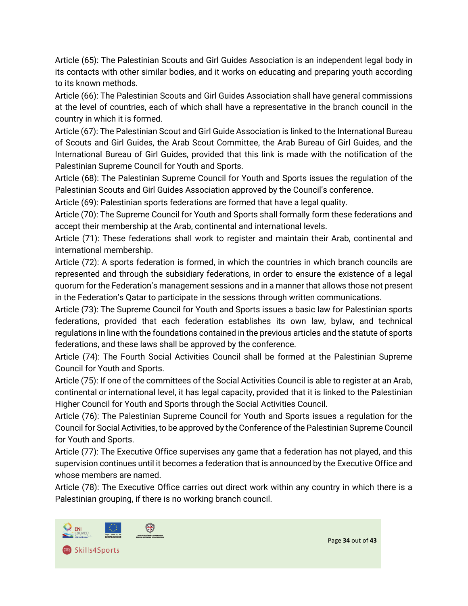Article (65): The Palestinian Scouts and Girl Guides Association is an independent legal body in its contacts with other similar bodies, and it works on educating and preparing youth according to its known methods.

Article (66): The Palestinian Scouts and Girl Guides Association shall have general commissions at the level of countries, each of which shall have a representative in the branch council in the country in which it is formed.

Article (67): The Palestinian Scout and Girl Guide Association is linked to the International Bureau of Scouts and Girl Guides, the Arab Scout Committee, the Arab Bureau of Girl Guides, and the International Bureau of Girl Guides, provided that this link is made with the notification of the Palestinian Supreme Council for Youth and Sports.

Article (68): The Palestinian Supreme Council for Youth and Sports issues the regulation of the Palestinian Scouts and Girl Guides Association approved by the Council's conference.

Article (69): Palestinian sports federations are formed that have a legal quality.

Article (70): The Supreme Council for Youth and Sports shall formally form these federations and accept their membership at the Arab, continental and international levels.

Article (71): These federations shall work to register and maintain their Arab, continental and international membership.

Article (72): A sports federation is formed, in which the countries in which branch councils are represented and through the subsidiary federations, in order to ensure the existence of a legal quorum for the Federation's management sessions and in a manner that allows those not present in the Federation's Qatar to participate in the sessions through written communications.

Article (73): The Supreme Council for Youth and Sports issues a basic law for Palestinian sports federations, provided that each federation establishes its own law, bylaw, and technical regulations in line with the foundations contained in the previous articles and the statute of sports federations, and these laws shall be approved by the conference.

Article (74): The Fourth Social Activities Council shall be formed at the Palestinian Supreme Council for Youth and Sports.

Article (75): If one of the committees of the Social Activities Council is able to register at an Arab, continental or international level, it has legal capacity, provided that it is linked to the Palestinian Higher Council for Youth and Sports through the Social Activities Council.

Article (76): The Palestinian Supreme Council for Youth and Sports issues a regulation for the Council for Social Activities, to be approved by the Conference of the Palestinian Supreme Council for Youth and Sports.

Article (77): The Executive Office supervises any game that a federation has not played, and this supervision continues until it becomes a federation that is announced by the Executive Office and whose members are named.

Article (78): The Executive Office carries out direct work within any country in which there is a Palestinian grouping, if there is no working branch council.

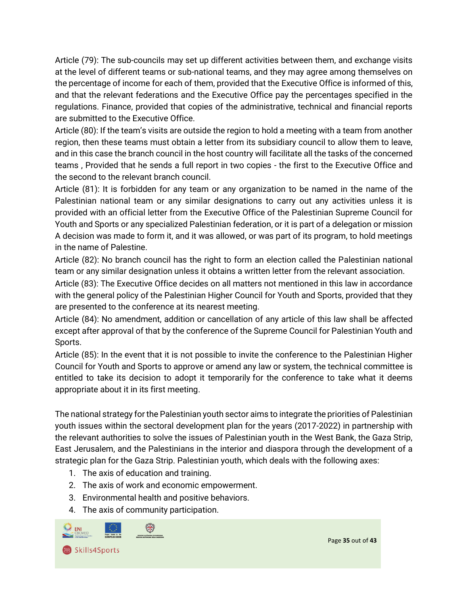Article (79): The sub-councils may set up different activities between them, and exchange visits at the level of different teams or sub-national teams, and they may agree among themselves on the percentage of income for each of them, provided that the Executive Office is informed of this, and that the relevant federations and the Executive Office pay the percentages specified in the regulations. Finance, provided that copies of the administrative, technical and financial reports are submitted to the Executive Office.

Article (80): If the team's visits are outside the region to hold a meeting with a team from another region, then these teams must obtain a letter from its subsidiary council to allow them to leave, and in this case the branch council in the host country will facilitate all the tasks of the concerned teams , Provided that he sends a full report in two copies - the first to the Executive Office and the second to the relevant branch council.

Article (81): It is forbidden for any team or any organization to be named in the name of the Palestinian national team or any similar designations to carry out any activities unless it is provided with an official letter from the Executive Office of the Palestinian Supreme Council for Youth and Sports or any specialized Palestinian federation, or it is part of a delegation or mission A decision was made to form it, and it was allowed, or was part of its program, to hold meetings in the name of Palestine.

Article (82): No branch council has the right to form an election called the Palestinian national team or any similar designation unless it obtains a written letter from the relevant association.

Article (83): The Executive Office decides on all matters not mentioned in this law in accordance with the general policy of the Palestinian Higher Council for Youth and Sports, provided that they are presented to the conference at its nearest meeting.

Article (84): No amendment, addition or cancellation of any article of this law shall be affected except after approval of that by the conference of the Supreme Council for Palestinian Youth and Sports.

Article (85): In the event that it is not possible to invite the conference to the Palestinian Higher Council for Youth and Sports to approve or amend any law or system, the technical committee is entitled to take its decision to adopt it temporarily for the conference to take what it deems appropriate about it in its first meeting.

The national strategy for the Palestinian youth sector aims to integrate the priorities of Palestinian youth issues within the sectoral development plan for the years (2017-2022) in partnership with the relevant authorities to solve the issues of Palestinian youth in the West Bank, the Gaza Strip, East Jerusalem, and the Palestinians in the interior and diaspora through the development of a strategic plan for the Gaza Strip. Palestinian youth, which deals with the following axes:

- 1. The axis of education and training.
- 2. The axis of work and economic empowerment.
- 3. Environmental health and positive behaviors.
- 4. The axis of community participation.

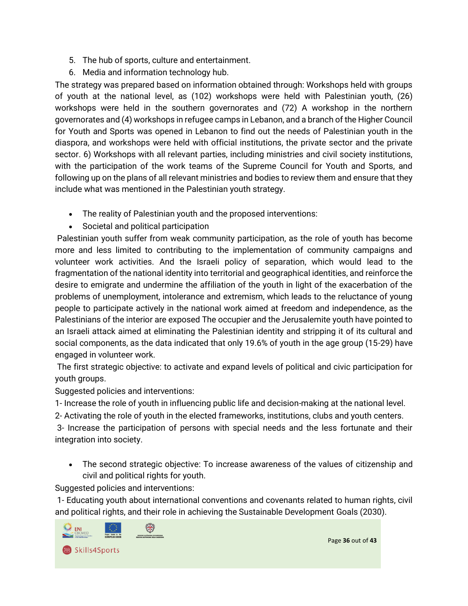- 5. The hub of sports, culture and entertainment.
- 6. Media and information technology hub.

The strategy was prepared based on information obtained through: Workshops held with groups of youth at the national level, as (102) workshops were held with Palestinian youth, (26) workshops were held in the southern governorates and (72) A workshop in the northern governorates and (4) workshops in refugee camps in Lebanon, and a branch of the Higher Council for Youth and Sports was opened in Lebanon to find out the needs of Palestinian youth in the diaspora, and workshops were held with official institutions, the private sector and the private sector. 6) Workshops with all relevant parties, including ministries and civil society institutions, with the participation of the work teams of the Supreme Council for Youth and Sports, and following up on the plans of all relevant ministries and bodies to review them and ensure that they include what was mentioned in the Palestinian youth strategy.

- The reality of Palestinian youth and the proposed interventions:
- Societal and political participation

Palestinian youth suffer from weak community participation, as the role of youth has become more and less limited to contributing to the implementation of community campaigns and volunteer work activities. And the Israeli policy of separation, which would lead to the fragmentation of the national identity into territorial and geographical identities, and reinforce the desire to emigrate and undermine the affiliation of the youth in light of the exacerbation of the problems of unemployment, intolerance and extremism, which leads to the reluctance of young people to participate actively in the national work aimed at freedom and independence, as the Palestinians of the interior are exposed The occupier and the Jerusalemite youth have pointed to an Israeli attack aimed at eliminating the Palestinian identity and stripping it of its cultural and social components, as the data indicated that only 19.6% of youth in the age group (15-29) have engaged in volunteer work.

The first strategic objective: to activate and expand levels of political and civic participation for youth groups.

Suggested policies and interventions:

1- Increase the role of youth in influencing public life and decision-making at the national level.

2- Activating the role of youth in the elected frameworks, institutions, clubs and youth centers.

3- Increase the participation of persons with special needs and the less fortunate and their integration into society.

• The second strategic objective: To increase awareness of the values of citizenship and civil and political rights for youth.

Suggested policies and interventions:

1- Educating youth about international conventions and covenants related to human rights, civil and political rights, and their role in achieving the Sustainable Development Goals (2030).

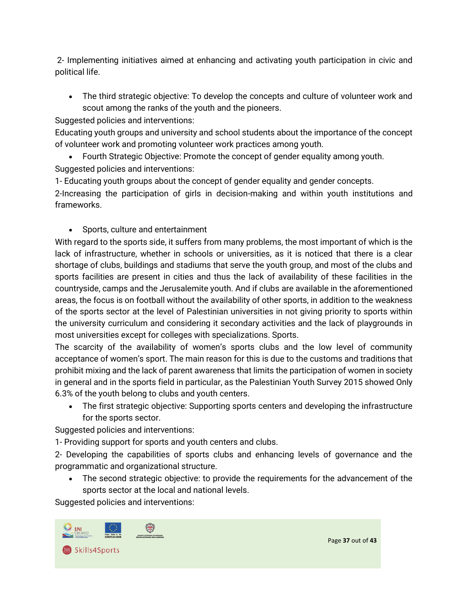2- Implementing initiatives aimed at enhancing and activating youth participation in civic and political life.

• The third strategic objective: To develop the concepts and culture of volunteer work and scout among the ranks of the youth and the pioneers.

Suggested policies and interventions:

Educating youth groups and university and school students about the importance of the concept of volunteer work and promoting volunteer work practices among youth.

• Fourth Strategic Objective: Promote the concept of gender equality among youth. Suggested policies and interventions:

1- Educating youth groups about the concept of gender equality and gender concepts.

2-Increasing the participation of girls in decision-making and within youth institutions and frameworks.

• Sports, culture and entertainment

With regard to the sports side, it suffers from many problems, the most important of which is the lack of infrastructure, whether in schools or universities, as it is noticed that there is a clear shortage of clubs, buildings and stadiums that serve the youth group, and most of the clubs and sports facilities are present in cities and thus the lack of availability of these facilities in the countryside, camps and the Jerusalemite youth. And if clubs are available in the aforementioned areas, the focus is on football without the availability of other sports, in addition to the weakness of the sports sector at the level of Palestinian universities in not giving priority to sports within the university curriculum and considering it secondary activities and the lack of playgrounds in most universities except for colleges with specializations. Sports.

The scarcity of the availability of women's sports clubs and the low level of community acceptance of women's sport. The main reason for this is due to the customs and traditions that prohibit mixing and the lack of parent awareness that limits the participation of women in society in general and in the sports field in particular, as the Palestinian Youth Survey 2015 showed Only 6.3% of the youth belong to clubs and youth centers.

• The first strategic objective: Supporting sports centers and developing the infrastructure for the sports sector.

Suggested policies and interventions:

1- Providing support for sports and youth centers and clubs.

2- Developing the capabilities of sports clubs and enhancing levels of governance and the programmatic and organizational structure.

The second strategic objective: to provide the requirements for the advancement of the sports sector at the local and national levels.

Suggested policies and interventions:

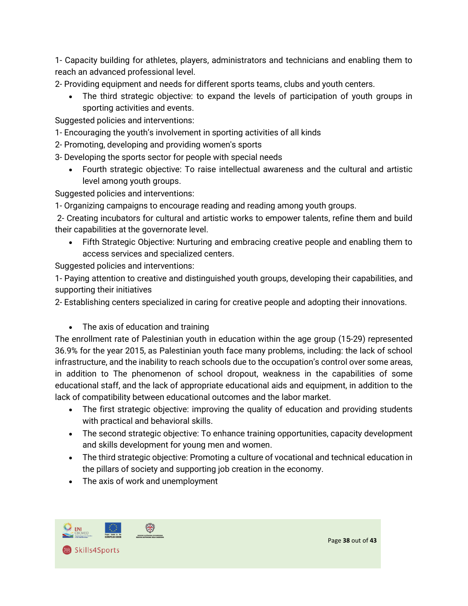1- Capacity building for athletes, players, administrators and technicians and enabling them to reach an advanced professional level.

2- Providing equipment and needs for different sports teams, clubs and youth centers.

The third strategic objective: to expand the levels of participation of youth groups in sporting activities and events.

Suggested policies and interventions:

- 1- Encouraging the youth's involvement in sporting activities of all kinds
- 2- Promoting, developing and providing women's sports

3- Developing the sports sector for people with special needs

• Fourth strategic objective: To raise intellectual awareness and the cultural and artistic level among youth groups.

Suggested policies and interventions:

1- Organizing campaigns to encourage reading and reading among youth groups.

2- Creating incubators for cultural and artistic works to empower talents, refine them and build their capabilities at the governorate level.

• Fifth Strategic Objective: Nurturing and embracing creative people and enabling them to access services and specialized centers.

Suggested policies and interventions:

1- Paying attention to creative and distinguished youth groups, developing their capabilities, and supporting their initiatives

2- Establishing centers specialized in caring for creative people and adopting their innovations.

• The axis of education and training

The enrollment rate of Palestinian youth in education within the age group (15-29) represented 36.9% for the year 2015, as Palestinian youth face many problems, including: the lack of school infrastructure, and the inability to reach schools due to the occupation's control over some areas, in addition to The phenomenon of school dropout, weakness in the capabilities of some educational staff, and the lack of appropriate educational aids and equipment, in addition to the lack of compatibility between educational outcomes and the labor market.

- The first strategic objective: improving the quality of education and providing students with practical and behavioral skills.
- The second strategic objective: To enhance training opportunities, capacity development and skills development for young men and women.
- The third strategic objective: Promoting a culture of vocational and technical education in the pillars of society and supporting job creation in the economy.
- The axis of work and unemployment

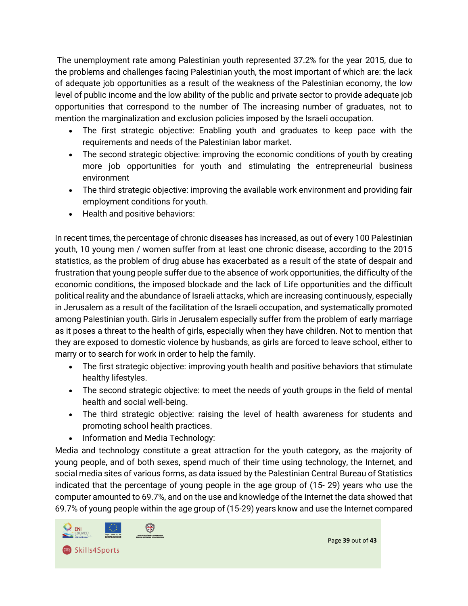The unemployment rate among Palestinian youth represented 37.2% for the year 2015, due to the problems and challenges facing Palestinian youth, the most important of which are: the lack of adequate job opportunities as a result of the weakness of the Palestinian economy, the low level of public income and the low ability of the public and private sector to provide adequate job opportunities that correspond to the number of The increasing number of graduates, not to mention the marginalization and exclusion policies imposed by the Israeli occupation.

- The first strategic objective: Enabling youth and graduates to keep pace with the requirements and needs of the Palestinian labor market.
- The second strategic objective: improving the economic conditions of youth by creating more job opportunities for youth and stimulating the entrepreneurial business environment
- The third strategic objective: improving the available work environment and providing fair employment conditions for youth.
- Health and positive behaviors:

In recent times, the percentage of chronic diseases has increased, as out of every 100 Palestinian youth, 10 young men / women suffer from at least one chronic disease, according to the 2015 statistics, as the problem of drug abuse has exacerbated as a result of the state of despair and frustration that young people suffer due to the absence of work opportunities, the difficulty of the economic conditions, the imposed blockade and the lack of Life opportunities and the difficult political reality and the abundance of Israeli attacks, which are increasing continuously, especially in Jerusalem as a result of the facilitation of the Israeli occupation, and systematically promoted among Palestinian youth. Girls in Jerusalem especially suffer from the problem of early marriage as it poses a threat to the health of girls, especially when they have children. Not to mention that they are exposed to domestic violence by husbands, as girls are forced to leave school, either to marry or to search for work in order to help the family.

- The first strategic objective: improving youth health and positive behaviors that stimulate healthy lifestyles.
- The second strategic objective: to meet the needs of youth groups in the field of mental health and social well-being.
- The third strategic objective: raising the level of health awareness for students and promoting school health practices.
- Information and Media Technology:

Media and technology constitute a great attraction for the youth category, as the majority of young people, and of both sexes, spend much of their time using technology, the Internet, and social media sites of various forms, as data issued by the Palestinian Central Bureau of Statistics indicated that the percentage of young people in the age group of (15- 29) years who use the computer amounted to 69.7%, and on the use and knowledge of the Internet the data showed that 69.7% of young people within the age group of (15-29) years know and use the Internet compared

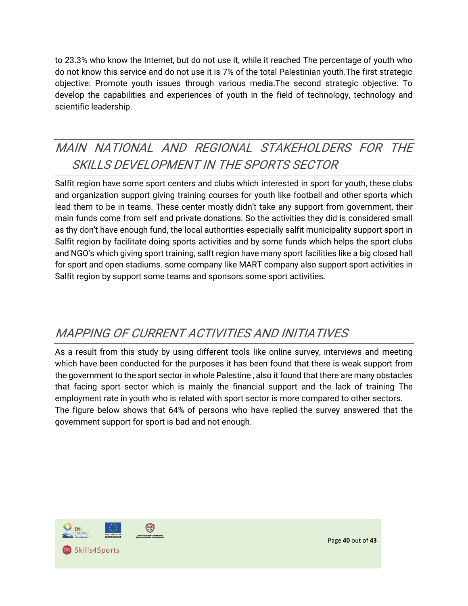to 23.3% who know the Internet, but do not use it, while it reached The percentage of youth who do not know this service and do not use it is 7% of the total Palestinian youth.The first strategic objective: Promote youth issues through various media.The second strategic objective: To develop the capabilities and experiences of youth in the field of technology, technology and scientific leadership.

# <span id="page-39-0"></span>MAIN NATIONAL AND REGIONAL STAKEHOLDERS FOR THE SKILLS DEVELOPMENT IN THE SPORTS SECTOR

Salfit region have some sport centers and clubs which interested in sport for youth, these clubs and organization support giving training courses for youth like football and other sports which lead them to be in teams. These center mostly didn't take any support from government, their main funds come from self and private donations. So the activities they did is considered small as thy don't have enough fund, the local authorities especially salfit municipality support sport in Salfit region by facilitate doing sports activities and by some funds which helps the sport clubs and NGO's which giving sport training, salft region have many sport facilities like a big closed hall for sport and open stadiums. some company like MART company also support sport activities in Salfit region by support some teams and sponsors some sport activities.

## <span id="page-39-1"></span>MAPPING OF CURRENT ACTIVITIES AND INITIATIVES

As a result from this study by using different tools like online survey, interviews and meeting which have been conducted for the purposes it has been found that there is weak support from the government to the sport sector in whole Palestine , also it found that there are many obstacles that facing sport sector which is mainly the financial support and the lack of training The employment rate in youth who is related with sport sector is more compared to other sectors. The figure below shows that 64% of persons who have replied the survey answered that the government support for sport is bad and not enough.

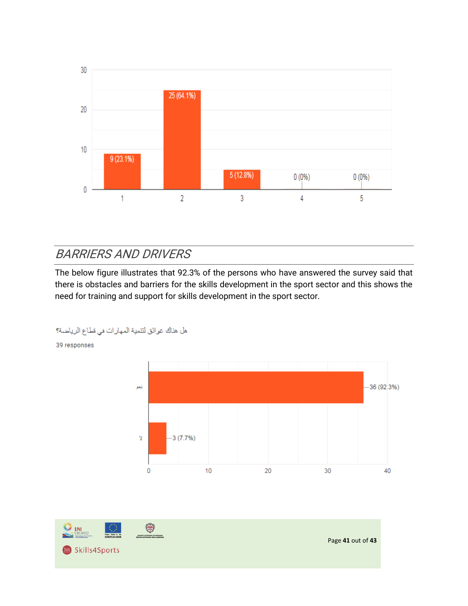

## <span id="page-40-0"></span>BARRIERS AND DRIVERS

The below figure illustrates that 92.3% of the persons who have answered the survey said that there is obstacles and barriers for the skills development in the sport sector and this shows the need for training and support for skills development in the sport sector.



هل هذاك عوائق لتنمية المهارات في قطاع الرياضة؟

39 responses

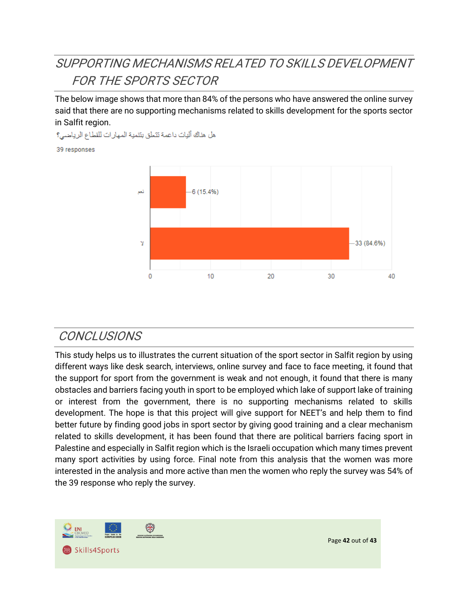# <span id="page-41-0"></span>SUPPORTING MECHANISMS RELATED TO SKILLS DEVELOPMENT FOR THE SPORTS SECTOR

The below image shows that more than 84% of the persons who have answered the online survey said that there are no supporting mechanisms related to skills development for the sports sector in Salfit region.

هل هناك أليات داعمة تتعلق بنتمية المهارات للقطاع الرياضي؟

39 responses



### <span id="page-41-1"></span>**CONCLUSIONS**

This study helps us to illustrates the current situation of the sport sector in Salfit region by using different ways like desk search, interviews, online survey and face to face meeting, it found that the support for sport from the government is weak and not enough, it found that there is many obstacles and barriers facing youth in sport to be employed which lake of support lake of training or interest from the government, there is no supporting mechanisms related to skills development. The hope is that this project will give support for NEET's and help them to find better future by finding good jobs in sport sector by giving good training and a clear mechanism related to skills development, it has been found that there are political barriers facing sport in Palestine and especially in Salfit region which is the Israeli occupation which many times prevent many sport activities by using force. Final note from this analysis that the women was more interested in the analysis and more active than men the women who reply the survey was 54% of the 39 response who reply the survey.